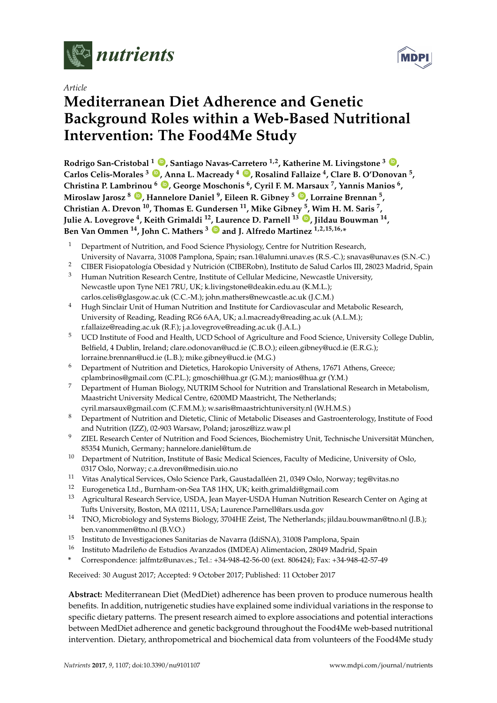

*Article*

# **Mediterranean Diet Adherence and Genetic Background Roles within a Web-Based Nutritional Intervention: The Food4Me Study**

**Rodrigo San-Cristobal <sup>1</sup> [ID](https://orcid.org/0000-0001-8054-6553) , Santiago Navas-Carretero 1,2, Katherine M. Livingstone <sup>3</sup> [ID](https://orcid.org/0000-0002-9682-7541) , Carlos Celis-Morales <sup>3</sup> [ID](https://orcid.org/0000-0003-2612-3917) , Anna L. Macready <sup>4</sup> [ID](https://orcid.org/0000-0003-0368-9336) , Rosalind Fallaize <sup>4</sup> , Clare B. O'Donovan <sup>5</sup> , Christina P. Lambrinou <sup>6</sup> [ID](https://orcid.org/0000-0001-8065-989X) , George Moschonis <sup>6</sup> , Cyril F. M. Marsaux <sup>7</sup> , Yannis Manios <sup>6</sup> , Miroslaw Jarosz <sup>8</sup> [ID](https://orcid.org/0000-0001-8581-4676) , Hannelore Daniel <sup>9</sup> , Eileen R. Gibney <sup>5</sup> [ID](https://orcid.org/0000-0001-9465-052X) , Lorraine Brennan <sup>5</sup> , Christian A. Drevon <sup>10</sup>, Thomas E. Gundersen <sup>11</sup>, Mike Gibney <sup>5</sup> , Wim H. M. Saris <sup>7</sup> , Julie A. Lovegrove <sup>4</sup> , Keith Grimaldi <sup>12</sup>, Laurence D. Parnell <sup>13</sup> [ID](https://orcid.org/0000-0001-9718-1335) , Jildau Bouwman <sup>14</sup> , Ben Van Ommen <sup>14</sup>, John C. Mathers <sup>3</sup> [ID](https://orcid.org/0000-0003-3406-3002) and J. Alfredo Martinez 1,2,15,16,\***

- <sup>1</sup> Department of Nutrition, and Food Science Physiology, Centre for Nutrition Research, University of Navarra, 31008 Pamplona, Spain; rsan.1@alumni.unav.es (R.S.-C.); snavas@unav.es (S.N.-C.)
- <sup>2</sup> CIBER Fisiopatología Obesidad y Nutrición (CIBERobn), Instituto de Salud Carlos III, 28023 Madrid, Spain
- <sup>3</sup> Human Nutrition Research Centre, Institute of Cellular Medicine, Newcastle University, Newcastle upon Tyne NE1 7RU, UK; k.livingstone@deakin.edu.au (K.M.L.); carlos.celis@glasgow.ac.uk (C.C.-M.); john.mathers@newcastle.ac.uk (J.C.M.)
- <sup>4</sup> Hugh Sinclair Unit of Human Nutrition and Institute for Cardiovascular and Metabolic Research, University of Reading, Reading RG6 6AA, UK; a.l.macready@reading.ac.uk (A.L.M.); r.fallaize@reading.ac.uk (R.F.); j.a.lovegrove@reading.ac.uk (J.A.L.)
- <sup>5</sup> UCD Institute of Food and Health, UCD School of Agriculture and Food Science, University College Dublin, Belfield, 4 Dublin, Ireland; clare.odonovan@ucd.ie (C.B.O.); eileen.gibney@ucd.ie (E.R.G.); lorraine.brennan@ucd.ie (L.B.); mike.gibney@ucd.ie (M.G.)
- <sup>6</sup> Department of Nutrition and Dietetics, Harokopio University of Athens, 17671 Athens, Greece; cplambrinos@gmail.com (C.P.L.); gmoschi@hua.gr (G.M.); manios@hua.gr (Y.M.)
- <sup>7</sup> Department of Human Biology, NUTRIM School for Nutrition and Translational Research in Metabolism, Maastricht University Medical Centre, 6200MD Maastricht, The Netherlands; cyril.marsaux@gmail.com (C.F.M.M.); w.saris@maastrichtuniversity.nl (W.H.M.S.)
- <sup>8</sup> Department of Nutrition and Dietetic, Clinic of Metabolic Diseases and Gastroenterology, Institute of Food and Nutrition (IZZ), 02-903 Warsaw, Poland; jarosz@izz.waw.pl
- <sup>9</sup> ZIEL Research Center of Nutrition and Food Sciences, Biochemistry Unit, Technische Universität München, 85354 Munich, Germany; hannelore.daniel@tum.de
- <sup>10</sup> Department of Nutrition, Institute of Basic Medical Sciences, Faculty of Medicine, University of Oslo, 0317 Oslo, Norway; c.a.drevon@medisin.uio.no
- <sup>11</sup> Vitas Analytical Services, Oslo Science Park, Gaustadalléen 21, 0349 Oslo, Norway; teg@vitas.no<br><sup>12</sup> Eurogenetica I td. Burnham-on-Sea TA8 1HX UK: keith grimaldi@gmail.com
- <sup>12</sup> Eurogenetica Ltd., Burnham-on-Sea TA8 1HX, UK; keith.grimaldi@gmail.com
- <sup>13</sup> Agricultural Research Service, USDA, Jean Mayer-USDA Human Nutrition Research Center on Aging at Tufts University, Boston, MA 02111, USA; Laurence.Parnell@ars.usda.gov
- <sup>14</sup> TNO, Microbiology and Systems Biology, 3704HE Zeist, The Netherlands; jildau.bouwman@tno.nl (J.B.); ben.vanommen@tno.nl (B.V.O.)
- <sup>15</sup> Instituto de Investigaciones Sanitarias de Navarra (IdiSNA), 31008 Pamplona, Spain
- <sup>16</sup> Instituto Madrileño de Estudios Avanzados (IMDEA) Alimentacion, 28049 Madrid, Spain
- **\*** Correspondence: jalfmtz@unav.es.; Tel.: +34-948-42-56-00 (ext. 806424); Fax: +34-948-42-57-49

Received: 30 August 2017; Accepted: 9 October 2017; Published: 11 October 2017

**Abstract:** Mediterranean Diet (MedDiet) adherence has been proven to produce numerous health benefits. In addition, nutrigenetic studies have explained some individual variations in the response to specific dietary patterns. The present research aimed to explore associations and potential interactions between MedDiet adherence and genetic background throughout the Food4Me web-based nutritional intervention. Dietary, anthropometrical and biochemical data from volunteers of the Food4Me study

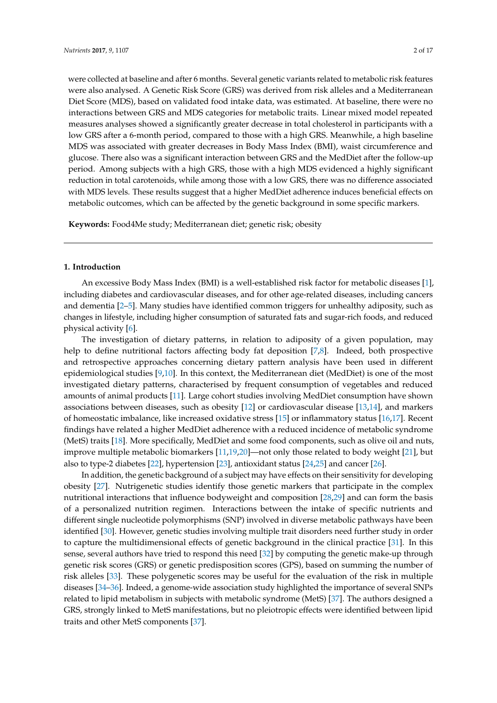were collected at baseline and after 6 months. Several genetic variants related to metabolic risk features were also analysed. A Genetic Risk Score (GRS) was derived from risk alleles and a Mediterranean Diet Score (MDS), based on validated food intake data, was estimated. At baseline, there were no interactions between GRS and MDS categories for metabolic traits. Linear mixed model repeated measures analyses showed a significantly greater decrease in total cholesterol in participants with a low GRS after a 6-month period, compared to those with a high GRS. Meanwhile, a high baseline MDS was associated with greater decreases in Body Mass Index (BMI), waist circumference and glucose. There also was a significant interaction between GRS and the MedDiet after the follow-up period. Among subjects with a high GRS, those with a high MDS evidenced a highly significant reduction in total carotenoids, while among those with a low GRS, there was no difference associated with MDS levels. These results suggest that a higher MedDiet adherence induces beneficial effects on metabolic outcomes, which can be affected by the genetic background in some specific markers.

**Keywords:** Food4Me study; Mediterranean diet; genetic risk; obesity

### **1. Introduction**

An excessive Body Mass Index (BMI) is a well-established risk factor for metabolic diseases [\[1\]](#page-10-0), including diabetes and cardiovascular diseases, and for other age-related diseases, including cancers and dementia [\[2–](#page-10-1)[5\]](#page-11-0). Many studies have identified common triggers for unhealthy adiposity, such as changes in lifestyle, including higher consumption of saturated fats and sugar-rich foods, and reduced physical activity [\[6\]](#page-11-1).

The investigation of dietary patterns, in relation to adiposity of a given population, may help to define nutritional factors affecting body fat deposition [\[7,](#page-11-2)[8\]](#page-11-3). Indeed, both prospective and retrospective approaches concerning dietary pattern analysis have been used in different epidemiological studies [\[9](#page-11-4)[,10\]](#page-11-5). In this context, the Mediterranean diet (MedDiet) is one of the most investigated dietary patterns, characterised by frequent consumption of vegetables and reduced amounts of animal products [\[11\]](#page-11-6). Large cohort studies involving MedDiet consumption have shown associations between diseases, such as obesity [\[12\]](#page-11-7) or cardiovascular disease [\[13](#page-11-8)[,14\]](#page-11-9), and markers of homeostatic imbalance, like increased oxidative stress [\[15\]](#page-11-10) or inflammatory status [\[16,](#page-11-11)[17\]](#page-11-12). Recent findings have related a higher MedDiet adherence with a reduced incidence of metabolic syndrome (MetS) traits [\[18\]](#page-11-13). More specifically, MedDiet and some food components, such as olive oil and nuts, improve multiple metabolic biomarkers [\[11,](#page-11-6)[19,](#page-11-14)[20\]](#page-11-15)—not only those related to body weight [\[21\]](#page-11-16), but also to type-2 diabetes [\[22\]](#page-12-0), hypertension [\[23\]](#page-12-1), antioxidant status [\[24,](#page-12-2)[25\]](#page-12-3) and cancer [\[26\]](#page-12-4).

In addition, the genetic background of a subject may have effects on their sensitivity for developing obesity [\[27\]](#page-12-5). Nutrigenetic studies identify those genetic markers that participate in the complex nutritional interactions that influence bodyweight and composition [\[28,](#page-12-6)[29\]](#page-12-7) and can form the basis of a personalized nutrition regimen. Interactions between the intake of specific nutrients and different single nucleotide polymorphisms (SNP) involved in diverse metabolic pathways have been identified [\[30\]](#page-12-8). However, genetic studies involving multiple trait disorders need further study in order to capture the multidimensional effects of genetic background in the clinical practice [\[31\]](#page-12-9). In this sense, several authors have tried to respond this need [\[32\]](#page-12-10) by computing the genetic make-up through genetic risk scores (GRS) or genetic predisposition scores (GPS), based on summing the number of risk alleles [\[33\]](#page-12-11). These polygenetic scores may be useful for the evaluation of the risk in multiple diseases [\[34–](#page-12-12)[36\]](#page-12-13). Indeed, a genome-wide association study highlighted the importance of several SNPs related to lipid metabolism in subjects with metabolic syndrome (MetS) [\[37\]](#page-12-14). The authors designed a GRS, strongly linked to MetS manifestations, but no pleiotropic effects were identified between lipid traits and other MetS components [\[37\]](#page-12-14).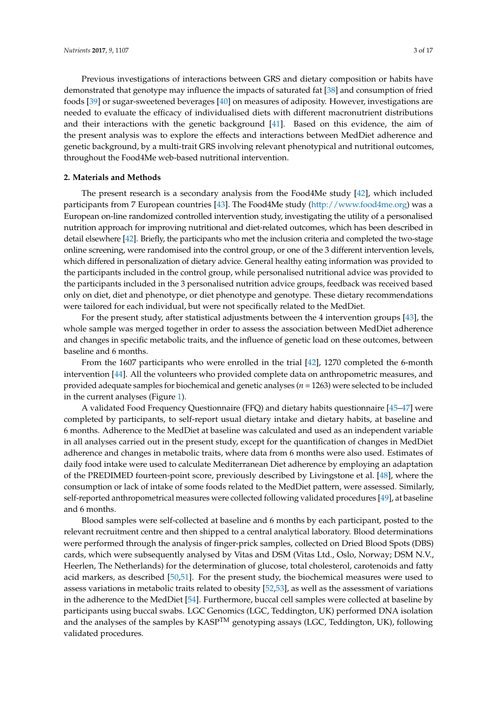Previous investigations of interactions between GRS and dietary composition or habits have demonstrated that genotype may influence the impacts of saturated fat [\[38\]](#page-12-15) and consumption of fried foods [\[39\]](#page-13-0) or sugar-sweetened beverages [\[40\]](#page-13-1) on measures of adiposity. However, investigations are needed to evaluate the efficacy of individualised diets with different macronutrient distributions and their interactions with the genetic background [\[41\]](#page-13-2). Based on this evidence, the aim of the present analysis was to explore the effects and interactions between MedDiet adherence and genetic background, by a multi-trait GRS involving relevant phenotypical and nutritional outcomes, throughout the Food4Me web-based nutritional intervention.

## **2. Materials and Methods**

The present research is a secondary analysis from the Food4Me study [\[42\]](#page-13-3), which included participants from 7 European countries [\[43\]](#page-13-4). The Food4Me study [\(http://www.food4me.org\)](http://www.food4me.org) was a European on-line randomized controlled intervention study, investigating the utility of a personalised nutrition approach for improving nutritional and diet-related outcomes, which has been described in detail elsewhere [\[42\]](#page-13-3). Briefly, the participants who met the inclusion criteria and completed the two-stage online screening, were randomised into the control group, or one of the 3 different intervention levels, which differed in personalization of dietary advice. General healthy eating information was provided to the participants included in the control group, while personalised nutritional advice was provided to the participants included in the 3 personalised nutrition advice groups, feedback was received based only on diet, diet and phenotype, or diet phenotype and genotype. These dietary recommendations were tailored for each individual, but were not specifically related to the MedDiet.

For the present study, after statistical adjustments between the 4 intervention groups [\[43\]](#page-13-4), the whole sample was merged together in order to assess the association between MedDiet adherence and changes in specific metabolic traits, and the influence of genetic load on these outcomes, between baseline and 6 months.

From the 1607 participants who were enrolled in the trial [\[42\]](#page-13-3), 1270 completed the 6-month intervention [\[44\]](#page-13-5). All the volunteers who provided complete data on anthropometric measures, and provided adequate samples for biochemical and genetic analyses (*n* = 1263) were selected to be included in the current analyses (Figure [1\)](#page-3-0).

A validated Food Frequency Questionnaire (FFQ) and dietary habits questionnaire [\[45](#page-13-6)[–47\]](#page-13-7) were completed by participants, to self-report usual dietary intake and dietary habits, at baseline and 6 months. Adherence to the MedDiet at baseline was calculated and used as an independent variable in all analyses carried out in the present study, except for the quantification of changes in MedDiet adherence and changes in metabolic traits, where data from 6 months were also used. Estimates of daily food intake were used to calculate Mediterranean Diet adherence by employing an adaptation of the PREDIMED fourteen-point score, previously described by Livingstone et al. [\[48\]](#page-13-8), where the consumption or lack of intake of some foods related to the MedDiet pattern, were assessed. Similarly, self-reported anthropometrical measures were collected following validated procedures [\[49\]](#page-13-9), at baseline and 6 months.

Blood samples were self-collected at baseline and 6 months by each participant, posted to the relevant recruitment centre and then shipped to a central analytical laboratory. Blood determinations were performed through the analysis of finger-prick samples, collected on Dried Blood Spots (DBS) cards, which were subsequently analysed by Vitas and DSM (Vitas Ltd., Oslo, Norway; DSM N.V., Heerlen, The Netherlands) for the determination of glucose, total cholesterol, carotenoids and fatty acid markers, as described [\[50,](#page-13-10)[51\]](#page-13-11). For the present study, the biochemical measures were used to assess variations in metabolic traits related to obesity [\[52,](#page-13-12)[53\]](#page-13-13), as well as the assessment of variations in the adherence to the MedDiet [\[54\]](#page-13-14). Furthermore, buccal cell samples were collected at baseline by participants using buccal swabs. LGC Genomics (LGC, Teddington, UK) performed DNA isolation and the analyses of the samples by  $KASP^{TM}$  genotyping assays (LGC, Teddington, UK), following validated procedures.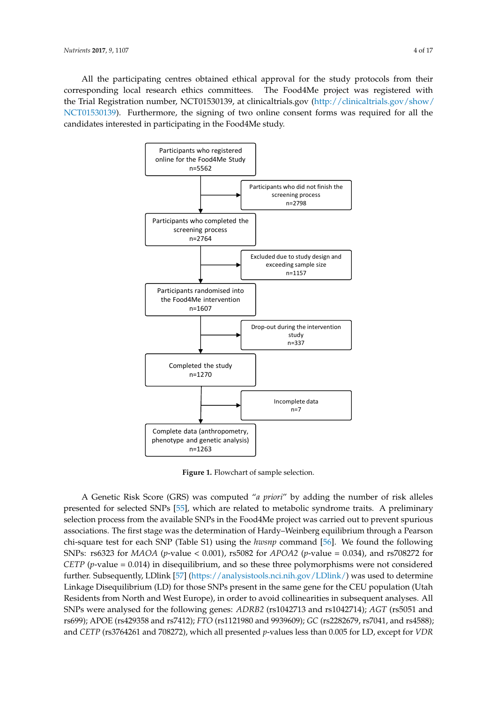All the participating centres obtained ethical approval for the study protocols from their corresponding local research ethics committees. The Food4Me project was registered with the Trial Registration number, NCT01530139, at clinicaltrials.gov [\(http://clinicaltrials.gov/show/](http://clinicaltrials.gov/show/NCT01530139) [NCT01530139\)](http://clinicaltrials.gov/show/NCT01530139). Furthermore, the signing of two online consent forms was required for all the candidates interested in participating in the Food4Me study.

<span id="page-3-0"></span>

**Figure 1.** Flowchart of sample selection. **Figure 1.** Flowchart of sample selection.

A Genetic Risk Score (GRS) was computed "*a priori*" by adding the number of risk alleles presented for selected SNPs [\[55\]](#page-14-0), which are related to metabolic syndrome traits. A preliminary election process from the available SNPs in the Food4Me project was carried out to prevent spurious associations. The first stage was the determination of Hardy–Weinberg equilibrium through a Pearson following SNPs: rs6323 for *MAOA* (*p*-value < 0.001), rs5082 for *APOA2* (*p*-value = 0.034), and rs708272 chi-square test for each SNP (Table S1) using the *hwsnp* command [\[56\]](#page-14-1). We found the following SNPs: rs6323 for *MAOA* (*p*-value < 0.001), rs5082 for *APOA2* (*p*-value = 0.034), and rs708272 for *CETP* (*p*-value = 0.014) in disequilibrium, and so these three polymorphisms were not considered further. Subsequently, LDlink [57] [\(https://analysistools.nci.nih.gov/LDlink/\)](https://analysistools.nci.nih.gov/LDlink/) was used to determine Linkage Disequilibrium (LD) for those SNPs present in the same gene for the CEU population (Utah Residents from North and West Europe), in order to avoid collinearities in subsequent analyses. All SNPs were analysed for the following genes: ADRB2 (rs1042713 and rs1042714); AGT (rs5051 and (rs1544410 and rs2228570), where the *p*-value was 0.984 for LD. For the SNPs within the same gene rs699); APOE (rs429358 and rs7412); *FTO* (rs1121980 and 9939609); *GC* (rs2282679, rs7041, and rs4588); and *CETP* (rs3764261 and 708272), which all presented *p*-values less than 0.005 for LD, except for *VDR*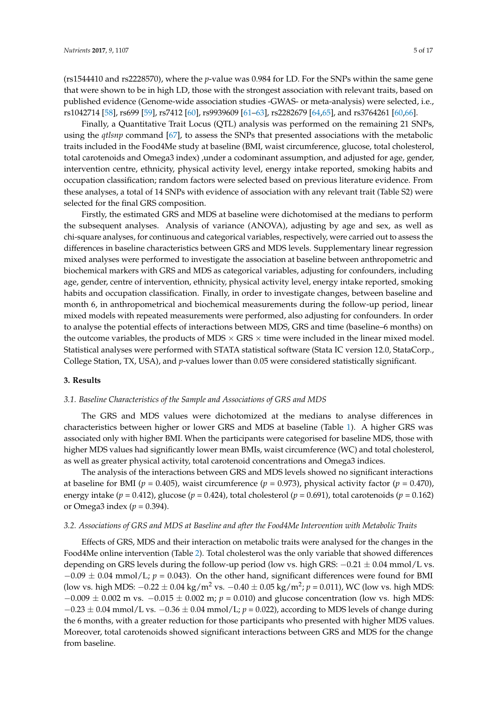(rs1544410 and rs2228570), where the *p*-value was 0.984 for LD. For the SNPs within the same gene that were shown to be in high LD, those with the strongest association with relevant traits, based on published evidence (Genome-wide association studies -GWAS- or meta-analysis) were selected, i.e., rs1042714 [\[58\]](#page-14-3), rs699 [\[59\]](#page-14-4), rs7412 [\[60\]](#page-14-5), rs9939609 [\[61–](#page-14-6)[63\]](#page-14-7), rs2282679 [\[64](#page-14-8)[,65\]](#page-14-9), and rs3764261 [\[60,](#page-14-5)[66\]](#page-14-10).

Finally, a Quantitative Trait Locus (QTL) analysis was performed on the remaining 21 SNPs, using the *qtlsnp* command [\[67\]](#page-14-11), to assess the SNPs that presented associations with the metabolic traits included in the Food4Me study at baseline (BMI, waist circumference, glucose, total cholesterol, total carotenoids and Omega3 index) ,under a codominant assumption, and adjusted for age, gender, intervention centre, ethnicity, physical activity level, energy intake reported, smoking habits and occupation classification; random factors were selected based on previous literature evidence. From these analyses, a total of 14 SNPs with evidence of association with any relevant trait (Table S2) were selected for the final GRS composition.

Firstly, the estimated GRS and MDS at baseline were dichotomised at the medians to perform the subsequent analyses. Analysis of variance (ANOVA), adjusting by age and sex, as well as chi-square analyses, for continuous and categorical variables, respectively, were carried out to assess the differences in baseline characteristics between GRS and MDS levels. Supplementary linear regression mixed analyses were performed to investigate the association at baseline between anthropometric and biochemical markers with GRS and MDS as categorical variables, adjusting for confounders, including age, gender, centre of intervention, ethnicity, physical activity level, energy intake reported, smoking habits and occupation classification. Finally, in order to investigate changes, between baseline and month 6, in anthropometrical and biochemical measurements during the follow-up period, linear mixed models with repeated measurements were performed, also adjusting for confounders. In order to analyse the potential effects of interactions between MDS, GRS and time (baseline–6 months) on the outcome variables, the products of MDS  $\times$  GRS  $\times$  time were included in the linear mixed model. Statistical analyses were performed with STATA statistical software (Stata IC version 12.0, StataCorp., College Station, TX, USA), and *p*-values lower than 0.05 were considered statistically significant.

## **3. Results**

## *3.1. Baseline Characteristics of the Sample and Associations of GRS and MDS*

The GRS and MDS values were dichotomized at the medians to analyse differences in characteristics between higher or lower GRS and MDS at baseline (Table [1\)](#page-5-0). A higher GRS was associated only with higher BMI. When the participants were categorised for baseline MDS, those with higher MDS values had significantly lower mean BMIs, waist circumference (WC) and total cholesterol, as well as greater physical activity, total carotenoid concentrations and Omega3 indices.

The analysis of the interactions between GRS and MDS levels showed no significant interactions at baseline for BMI (*p* = 0.405), waist circumference (*p* = 0.973), physical activity factor (*p* = 0.470), energy intake ( $p = 0.412$ ), glucose ( $p = 0.424$ ), total cholesterol ( $p = 0.691$ ), total carotenoids ( $p = 0.162$ ) or Omega3 index (*p* = 0.394).

### *3.2. Associations of GRS and MDS at Baseline and after the Food4Me Intervention with Metabolic Traits*

Effects of GRS, MDS and their interaction on metabolic traits were analysed for the changes in the Food4Me online intervention (Table [2\)](#page-6-0). Total cholesterol was the only variable that showed differences depending on GRS levels during the follow-up period (low vs. high GRS:  $-0.21 \pm 0.04$  mmol/L vs.  $-0.09 \pm 0.04$  mmol/L;  $p = 0.043$ ). On the other hand, significant differences were found for BMI (low vs. high MDS: −0.22 ± 0.04 kg/m<sup>2</sup> vs. −0.40 ± 0.05 kg/m<sup>2</sup> ; *p* = 0.011), WC (low vs. high MDS: −0.009 ± 0.002 m vs. −0.015 ± 0.002 m; *p* = 0.010) and glucose concentration (low vs. high MDS: −0.23 ± 0.04 mmol/L vs. −0.36 ± 0.04 mmol/L; *p* = 0.022), according to MDS levels of change during the 6 months, with a greater reduction for those participants who presented with higher MDS values. Moreover, total carotenoids showed significant interactions between GRS and MDS for the change from baseline.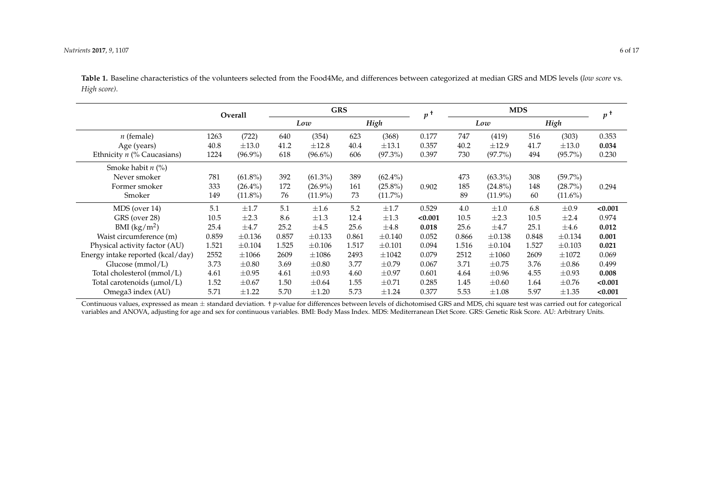**Table 1.** Baseline characteristics of the volunteers selected from the Food4Me, and differences between categorized at median GRS and MDS levels (*low score* vs. *High score)*.

|                                   | Overall |             | <b>GRS</b> |             |       |             | $\boldsymbol{v}$ | <b>MDS</b> |             |       |             | $p^+$   |
|-----------------------------------|---------|-------------|------------|-------------|-------|-------------|------------------|------------|-------------|-------|-------------|---------|
|                                   |         |             | Low        |             | High  |             |                  |            | Low         |       | High        |         |
| $n$ (female)                      | 1263    | (722)       | 640        | (354)       | 623   | (368)       | 0.177            | 747        | (419)       | 516   | (303)       | 0.353   |
| Age (years)                       | 40.8    | $\pm 13.0$  | 41.2       | $\pm 12.8$  | 40.4  | $\pm 13.1$  | 0.357            | 40.2       | $\pm 12.9$  | 41.7  | $\pm 13.0$  | 0.034   |
| Ethnicity $n$ (% Caucasians)      | 1224    | $(96.9\%)$  | 618        | $(96.6\%)$  | 606   | $(97.3\%)$  | 0.397            | 730        | $(97.7\%)$  | 494   | $(95.7\%)$  | 0.230   |
| Smoke habit $n$ (%)               |         |             |            |             |       |             |                  |            |             |       |             |         |
| Never smoker                      | 781     | $(61.8\%)$  | 392        | $(61.3\%)$  | 389   | $(62.4\%)$  |                  | 473        | $(63.3\%)$  | 308   | $(59.7\%)$  |         |
| Former smoker                     | 333     | $(26.4\%)$  | 172        | $(26.9\%)$  | 161   | $(25.8\%)$  | 0.902            | 185        | $(24.8\%)$  | 148   | (28.7%)     | 0.294   |
| Smoker                            | 149     | $(11.8\%)$  | 76         | $(11.9\%)$  | 73    | $(11.7\%)$  |                  | 89         | $(11.9\%)$  | 60    | $(11.6\%)$  |         |
| MDS (over 14)                     | 5.1     | $\pm 1.7$   | 5.1        | $\pm 1.6$   | 5.2   | $\pm 1.7$   | 0.529            | 4.0        | $\pm 1.0$   | 6.8   | $\pm 0.9$   | < 0.001 |
| GRS (over 28)                     | 10.5    | $\pm 2.3$   | 8.6        | $\pm 1.3$   | 12.4  | $\pm 1.3$   | < 0.001          | 10.5       | $\pm 2.3$   | 10.5  | $\pm 2.4$   | 0.974   |
| BMI $(kg/m^2)$                    | 25.4    | $\pm 4.7$   | 25.2       | $\pm 4.5$   | 25.6  | $\pm 4.8$   | 0.018            | 25.6       | $\pm 4.7$   | 25.1  | $\pm 4.6$   | 0.012   |
| Waist circumference (m)           | 0.859   | $\pm 0.136$ | 0.857      | $\pm 0.133$ | 0.861 | $\pm 0.140$ | 0.052            | 0.866      | $\pm 0.138$ | 0.848 | $\pm 0.134$ | 0.001   |
| Physical activity factor (AU)     | 1.521   | $\pm 0.104$ | 1.525      | $\pm 0.106$ | 1.517 | $\pm 0.101$ | 0.094            | 1.516      | ±0.104      | 1.527 | $\pm 0.103$ | 0.021   |
| Energy intake reported (kcal/day) | 2552    | $\pm 1066$  | 2609       | $\pm 1086$  | 2493  | $\pm 1042$  | 0.079            | 2512       | $\pm 1060$  | 2609  | $\pm 1072$  | 0.069   |
| Glucose $(mmol/L)$                | 3.73    | $\pm 0.80$  | 3.69       | $\pm 0.80$  | 3.77  | $\pm 0.79$  | 0.067            | 3.71       | $\pm 0.75$  | 3.76  | $\pm 0.86$  | 0.499   |
| Total cholesterol (mmol/L)        | 4.61    | $\pm 0.95$  | 4.61       | $\pm 0.93$  | 4.60  | $\pm 0.97$  | 0.601            | 4.64       | $\pm 0.96$  | 4.55  | $\pm 0.93$  | 0.008   |
| Total carotenoids (µmol/L)        | 1.52    | $\pm 0.67$  | 1.50       | $\pm 0.64$  | 1.55  | $\pm 0.71$  | 0.285            | 1.45       | $\pm 0.60$  | 1.64  | $\pm 0.76$  | < 0.001 |
| Omega3 index (AU)                 | 5.71    | $\pm 1.22$  | 5.70       | $\pm 1.20$  | 5.73  | $\pm 1.24$  | 0.377            | 5.53       | $\pm 1.08$  | 5.97  | $\pm 1.35$  | < 0.001 |

<span id="page-5-0"></span>Continuous values, expressed as mean  $\pm$  standard deviation. † *p*-value for differences between levels of dichotomised GRS and MDS, chi square test was carried out for categorical variables and ANOVA, adjusting for age and sex for continuous variables. BMI: Body Mass Index. MDS: Mediterranean Diet Score. GRS: Genetic Risk Score. AU: Arbitrary Units.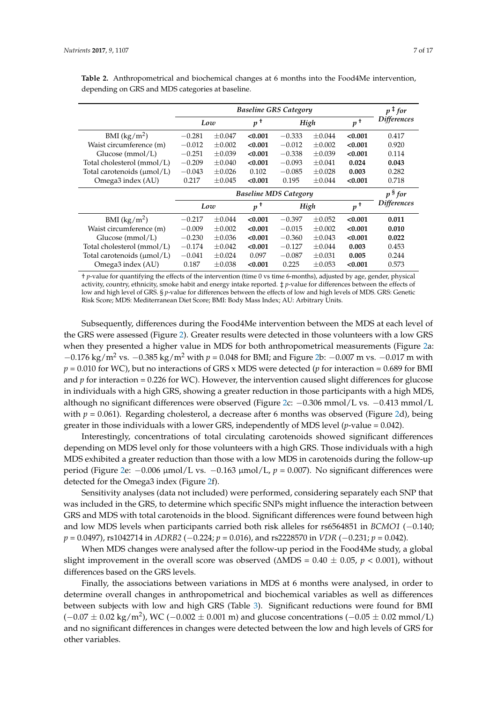|                                        |          | $p$ <sup>‡</sup> for |               |          |             |         |                    |  |
|----------------------------------------|----------|----------------------|---------------|----------|-------------|---------|--------------------|--|
|                                        | Low      |                      | $p^{\dagger}$ | High     |             | $p^+$   | <b>Differences</b> |  |
| BMI $(kg/m^2)$                         | $-0.281$ | $\pm 0.047$          | < 0.001       | $-0.333$ | $+0.044$    | < 0.001 | 0.417              |  |
| Waist circumference (m)                | $-0.012$ | $\pm 0.002$          | < 0.001       | $-0.012$ | $\pm 0.002$ | < 0.001 | 0.920              |  |
| Glucose $(mmol/L)$                     | $-0.251$ | $\pm 0.039$          | < 0.001       | $-0.338$ | $\pm 0.039$ | < 0.001 | 0.114              |  |
| Total cholesterol (mmol/L)             | $-0.209$ | $\pm 0.040$          | < 0.001       | $-0.093$ | $\pm 0.041$ | 0.024   | 0.043              |  |
| Total carotenoids $(\mu \text{mol/L})$ | $-0.043$ | $\pm 0.026$          | 0.102         | $-0.085$ | $\pm 0.028$ | 0.003   | 0.282              |  |
| Omega3 index (AU)                      | 0.217    | $\pm 0.045$          | < 0.001       | 0.195    | $\pm 0.044$ | < 0.001 | 0.718              |  |
|                                        |          | p <sup>§</sup> for   |               |          |             |         |                    |  |
|                                        | Low      |                      | $p^+$         | High     |             | $p^+$   | <b>Differences</b> |  |
| BMI $(kg/m^2)$                         | $-0.217$ | $\pm 0.044$          | < 0.001       | $-0.397$ | $\pm 0.052$ | < 0.001 | 0.011              |  |
| Waist circumference (m)                | $-0.009$ | $\pm 0.002$          | < 0.001       | $-0.015$ | $\pm 0.002$ | < 0.001 | 0.010              |  |
| Glucose $(mmol/L)$                     | $-0.230$ | $\pm 0.036$          | < 0.001       | $-0.360$ | $\pm 0.043$ | < 0.001 | 0.022              |  |
| Total cholesterol (mmol/L)             | $-0.174$ | $\pm 0.042$          | < 0.001       | $-0.127$ | $\pm 0.044$ | 0.003   | 0.453              |  |
| Total carotenoids $(\mu \text{mol/L})$ | $-0.041$ | $\pm 0.024$          | 0.097         | $-0.087$ | $\pm 0.031$ | 0.005   | 0.244              |  |
| Omega3 index (AU)                      | 0.187    | $\pm 0.038$          | < 0.001       | 0.225    | $\pm 0.053$ | < 0.001 | 0.573              |  |

<span id="page-6-0"></span>**Table 2.** Anthropometrical and biochemical changes at 6 months into the Food4Me intervention, depending on GRS and MDS categories at baseline.

† *p*-value for quantifying the effects of the intervention (time 0 vs time 6-months), adjusted by age, gender, physical activity, country, ethnicity, smoke habit and energy intake reported. ‡ *p*-value for differences between the effects of low and high level of GRS. § *p*-value for differences between the effects of low and high levels of MDS. GRS: Genetic Risk Score; MDS: Mediterranean Diet Score; BMI: Body Mass Index; AU: Arbitrary Units.

Subsequently, differences during the Food4Me intervention between the MDS at each level of the GRS were assessed (Figure [2\)](#page-7-0). Greater results were detected in those volunteers with a low GRS when they presented a higher value in MDS for both anthropometrical measurements (Figure [2a](#page-7-0): −0.176 kg/m<sup>2</sup> vs. −0.385 kg/m<sup>2</sup> with *p* = 0.048 for BMI; and Figure [2b](#page-7-0): −0.007 m vs. −0.017 m with *p* = 0.010 for WC), but no interactions of GRS x MDS were detected (*p* for interaction = 0.689 for BMI and  $p$  for interaction = 0.226 for WC). However, the intervention caused slight differences for glucose in individuals with a high GRS, showing a greater reduction in those participants with a high MDS, although no significant differences were observed (Figure [2c](#page-7-0): −0.306 mmol/L vs. −0.413 mmol/L with  $p = 0.061$ ). Regarding cholesterol, a decrease after 6 months was observed (Figure [2d](#page-7-0)), being greater in those individuals with a lower GRS, independently of MDS level (*p*-value = 0.042).

Interestingly, concentrations of total circulating carotenoids showed significant differences depending on MDS level only for those volunteers with a high GRS. Those individuals with a high MDS exhibited a greater reduction than those with a low MDS in carotenoids during the follow-up period (Figure [2e](#page-7-0): −0.006 µmol/L vs. −0.163 µmol/L, *p* = 0.007). No significant differences were detected for the Omega3 index (Figure [2f](#page-7-0)).

Sensitivity analyses (data not included) were performed, considering separately each SNP that was included in the GRS, to determine which specific SNPs might influence the interaction between GRS and MDS with total carotenoids in the blood. Significant differences were found between high and low MDS levels when participants carried both risk alleles for rs6564851 in *BCMO1* (−0.140; *p* = 0.0497), rs1042714 in *ADRB2* (−0.224; *p* = 0.016), and rs2228570 in *VDR* (−0.231; *p* = 0.042).

When MDS changes were analysed after the follow-up period in the Food4Me study, a global slight improvement in the overall score was observed (∆MDS = 0.40 ± 0.05, *p* < 0.001), without differences based on the GRS levels.

Finally, the associations between variations in MDS at 6 months were analysed, in order to determine overall changes in anthropometrical and biochemical variables as well as differences between subjects with low and high GRS (Table [3\)](#page-8-0). Significant reductions were found for BMI  $(-0.07 \pm 0.02 \text{ kg/m}^2)$ , WC ( $-0.002 \pm 0.001$  m) and glucose concentrations ( $-0.05 \pm 0.02$  mmol/L) and no significant differences in changes were detected between the low and high levels of GRS for other variables.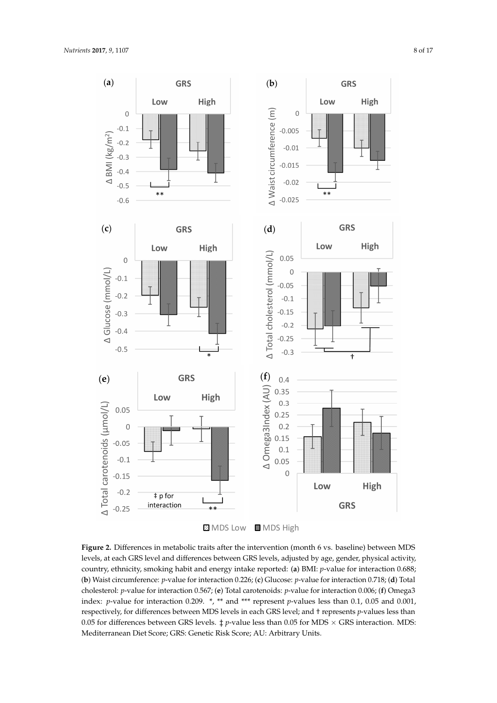<span id="page-7-0"></span>

**MDS Low MDS High** 

**Figure 2.** Differences in metabolic traits after the intervention (month 6 vs. baseline) between MDS **Figure 2.** Differences in metabolic traits after the intervention (month 6 vs. baseline) between MDS levels, at each GRS level and differences between GRS levels, adjusted by age, gender, physical levels, at each GRS level and differences between GRS levels, adjusted by age, gender, physical activity, country, ethnicity, smoking habit and energy intake reported: (a) BMI:  $p$ -value for interaction 0.688; 0.688; (**b**) Waist circumference: *p*-value for interaction 0.226; (**c**) Glucose: *p*-value for interaction 0.718; (b) Waist circumference: *p*-value for interaction 0.226; (c) Glucose: *p*-value for interaction 0.718; (d) Total cholesterol:  $p$ -value for interaction 0.567; (e) Total carotenoids:  $p$ -value for interaction 0.006; (f) Omega3 index: *p*-value for interaction 0.209. \*, \*\* and \*\*\* represent *p*-values less than 0.1, 0.05 and 0.001, respectively, for differences between MDS levels in each GRS level; and † represents *p*-values less than 0.05 for differences between GRS levels.  $\ddagger$  *p*-value less than 0.05 for MDS  $\times$  GRS interaction. MDS: Mediterranean Diet Score; GRS: Genetic Risk Score; AU: Arbitrary Units.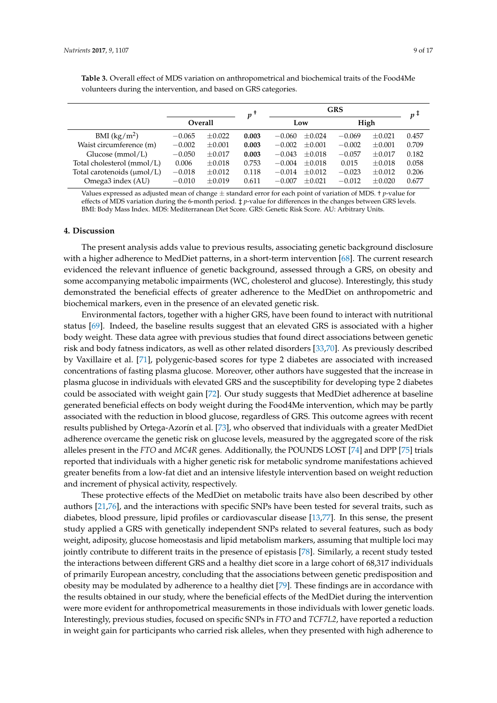|                                        |          |             | $\boldsymbol{v}$ |          | $p+$        |          |             |       |
|----------------------------------------|----------|-------------|------------------|----------|-------------|----------|-------------|-------|
|                                        | Overall  |             |                  | Low      |             | High     |             |       |
| BMI $(kg/m^2)$                         | $-0.065$ | $\pm 0.022$ | 0.003            | $-0.060$ | $\pm 0.024$ | $-0.069$ | $\pm 0.021$ | 0.457 |
| Waist circumference (m)                | $-0.002$ | $\pm 0.001$ | 0.003            | $-0.002$ | $\pm 0.001$ | $-0.002$ | $\pm 0.001$ | 0.709 |
| Glucose $(mmol/L)$                     | $-0.050$ | $\pm 0.017$ | 0.003            | $-0.043$ | $\pm 0.018$ | $-0.057$ | $\pm 0.017$ | 0.182 |
| Total cholesterol (mmol/L)             | 0.006    | $\pm 0.018$ | 0.753            | $-0.004$ | $\pm 0.018$ | 0.015    | $\pm 0.018$ | 0.058 |
| Total carotenoids $(\mu \text{mol/L})$ | $-0.018$ | $\pm 0.012$ | 0.118            | $-0.014$ | $\pm 0.012$ | $-0.023$ | $\pm 0.012$ | 0.206 |
| Omega3 index (AU)                      | $-0.010$ | $\pm 0.019$ | 0.611            | $-0.007$ | $\pm 0.021$ | $-0.012$ | $\pm 0.020$ | 0.677 |

<span id="page-8-0"></span>**Table 3.** Overall effect of MDS variation on anthropometrical and biochemical traits of the Food4Me volunteers during the intervention, and based on GRS categories.

Values expressed as adjusted mean of change ± standard error for each point of variation of MDS. † *p*-value for effects of MDS variation during the 6-month period. ‡ *p*-value for differences in the changes between GRS levels. BMI: Body Mass Index. MDS: Mediterranean Diet Score. GRS: Genetic Risk Score. AU: Arbitrary Units.

#### **4. Discussion**

The present analysis adds value to previous results, associating genetic background disclosure with a higher adherence to MedDiet patterns, in a short-term intervention [\[68\]](#page-14-12). The current research evidenced the relevant influence of genetic background, assessed through a GRS, on obesity and some accompanying metabolic impairments (WC, cholesterol and glucose). Interestingly, this study demonstrated the beneficial effects of greater adherence to the MedDiet on anthropometric and biochemical markers, even in the presence of an elevated genetic risk.

Environmental factors, together with a higher GRS, have been found to interact with nutritional status [\[69\]](#page-14-13). Indeed, the baseline results suggest that an elevated GRS is associated with a higher body weight. These data agree with previous studies that found direct associations between genetic risk and body fatness indicators, as well as other related disorders [\[33](#page-12-11)[,70\]](#page-14-14). As previously described by Vaxillaire et al. [\[71\]](#page-14-15), polygenic-based scores for type 2 diabetes are associated with increased concentrations of fasting plasma glucose. Moreover, other authors have suggested that the increase in plasma glucose in individuals with elevated GRS and the susceptibility for developing type 2 diabetes could be associated with weight gain [\[72\]](#page-15-0). Our study suggests that MedDiet adherence at baseline generated beneficial effects on body weight during the Food4Me intervention, which may be partly associated with the reduction in blood glucose, regardless of GRS. This outcome agrees with recent results published by Ortega-Azorín et al. [\[73\]](#page-15-1), who observed that individuals with a greater MedDiet adherence overcame the genetic risk on glucose levels, measured by the aggregated score of the risk alleles present in the *FTO* and *MC4R* genes. Additionally, the POUNDS LOST [\[74\]](#page-15-2) and DPP [\[75\]](#page-15-3) trials reported that individuals with a higher genetic risk for metabolic syndrome manifestations achieved greater benefits from a low-fat diet and an intensive lifestyle intervention based on weight reduction and increment of physical activity, respectively.

These protective effects of the MedDiet on metabolic traits have also been described by other authors [\[21,](#page-11-16)[76\]](#page-15-4), and the interactions with specific SNPs have been tested for several traits, such as diabetes, blood pressure, lipid profiles or cardiovascular disease [\[13,](#page-11-8)[77\]](#page-15-5). In this sense, the present study applied a GRS with genetically independent SNPs related to several features, such as body weight, adiposity, glucose homeostasis and lipid metabolism markers, assuming that multiple loci may jointly contribute to different traits in the presence of epistasis [\[78\]](#page-15-6). Similarly, a recent study tested the interactions between different GRS and a healthy diet score in a large cohort of 68,317 individuals of primarily European ancestry, concluding that the associations between genetic predisposition and obesity may be modulated by adherence to a healthy diet [\[79\]](#page-15-7). These findings are in accordance with the results obtained in our study, where the beneficial effects of the MedDiet during the intervention were more evident for anthropometrical measurements in those individuals with lower genetic loads. Interestingly, previous studies, focused on specific SNPs in *FTO* and *TCF7L2*, have reported a reduction in weight gain for participants who carried risk alleles, when they presented with high adherence to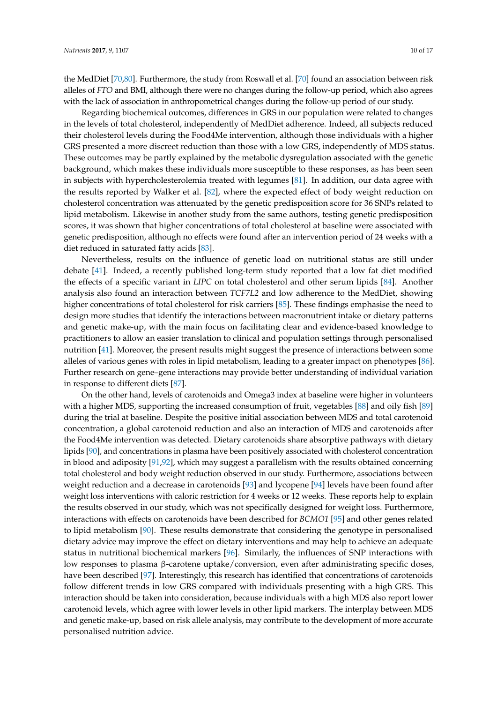the MedDiet [\[70](#page-14-14)[,80\]](#page-15-8). Furthermore, the study from Roswall et al. [\[70\]](#page-14-14) found an association between risk alleles of *FTO* and BMI, although there were no changes during the follow-up period, which also agrees with the lack of association in anthropometrical changes during the follow-up period of our study.

Regarding biochemical outcomes, differences in GRS in our population were related to changes in the levels of total cholesterol, independently of MedDiet adherence. Indeed, all subjects reduced their cholesterol levels during the Food4Me intervention, although those individuals with a higher GRS presented a more discreet reduction than those with a low GRS, independently of MDS status. These outcomes may be partly explained by the metabolic dysregulation associated with the genetic background, which makes these individuals more susceptible to these responses, as has been seen in subjects with hypercholesterolemia treated with legumes [\[81\]](#page-15-9). In addition, our data agree with the results reported by Walker et al. [\[82\]](#page-15-10), where the expected effect of body weight reduction on cholesterol concentration was attenuated by the genetic predisposition score for 36 SNPs related to lipid metabolism. Likewise in another study from the same authors, testing genetic predisposition scores, it was shown that higher concentrations of total cholesterol at baseline were associated with genetic predisposition, although no effects were found after an intervention period of 24 weeks with a diet reduced in saturated fatty acids [\[83\]](#page-15-11).

Nevertheless, results on the influence of genetic load on nutritional status are still under debate [\[41\]](#page-13-2). Indeed, a recently published long-term study reported that a low fat diet modified the effects of a specific variant in *LIPC* on total cholesterol and other serum lipids [\[84\]](#page-15-12). Another analysis also found an interaction between *TCF7L2* and low adherence to the MedDiet, showing higher concentrations of total cholesterol for risk carriers [\[85\]](#page-15-13). These findings emphasise the need to design more studies that identify the interactions between macronutrient intake or dietary patterns and genetic make-up, with the main focus on facilitating clear and evidence-based knowledge to practitioners to allow an easier translation to clinical and population settings through personalised nutrition [\[41\]](#page-13-2). Moreover, the present results might suggest the presence of interactions between some alleles of various genes with roles in lipid metabolism, leading to a greater impact on phenotypes [\[86\]](#page-15-14). Further research on gene–gene interactions may provide better understanding of individual variation in response to different diets [\[87\]](#page-15-15).

On the other hand, levels of carotenoids and Omega3 index at baseline were higher in volunteers with a higher MDS, supporting the increased consumption of fruit, vegetables [\[88\]](#page-16-0) and oily fish [\[89\]](#page-16-1) during the trial at baseline. Despite the positive initial association between MDS and total carotenoid concentration, a global carotenoid reduction and also an interaction of MDS and carotenoids after the Food4Me intervention was detected. Dietary carotenoids share absorptive pathways with dietary lipids [\[90\]](#page-16-2), and concentrations in plasma have been positively associated with cholesterol concentration in blood and adiposity [\[91,](#page-16-3)[92\]](#page-16-4), which may suggest a parallelism with the results obtained concerning total cholesterol and body weight reduction observed in our study. Furthermore, associations between weight reduction and a decrease in carotenoids [\[93\]](#page-16-5) and lycopene [\[94\]](#page-16-6) levels have been found after weight loss interventions with caloric restriction for 4 weeks or 12 weeks. These reports help to explain the results observed in our study, which was not specifically designed for weight loss. Furthermore, interactions with effects on carotenoids have been described for *BCMO1* [\[95\]](#page-16-7) and other genes related to lipid metabolism [\[90\]](#page-16-2). These results demonstrate that considering the genotype in personalised dietary advice may improve the effect on dietary interventions and may help to achieve an adequate status in nutritional biochemical markers [\[96\]](#page-16-8). Similarly, the influences of SNP interactions with low responses to plasma β-carotene uptake/conversion, even after administrating specific doses, have been described [\[97\]](#page-16-9). Interestingly, this research has identified that concentrations of carotenoids follow different trends in low GRS compared with individuals presenting with a high GRS. This interaction should be taken into consideration, because individuals with a high MDS also report lower carotenoid levels, which agree with lower levels in other lipid markers. The interplay between MDS and genetic make-up, based on risk allele analysis, may contribute to the development of more accurate personalised nutrition advice.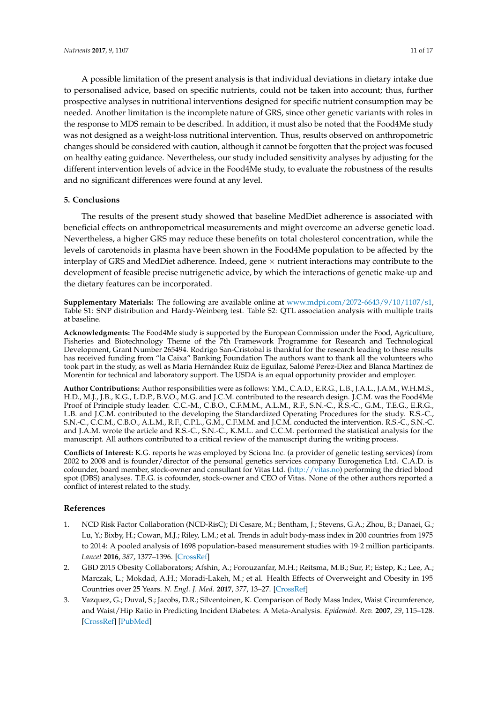A possible limitation of the present analysis is that individual deviations in dietary intake due to personalised advice, based on specific nutrients, could not be taken into account; thus, further prospective analyses in nutritional interventions designed for specific nutrient consumption may be needed. Another limitation is the incomplete nature of GRS, since other genetic variants with roles in the response to MDS remain to be described. In addition, it must also be noted that the Food4Me study was not designed as a weight-loss nutritional intervention. Thus, results observed on anthropometric changes should be considered with caution, although it cannot be forgotten that the project was focused on healthy eating guidance. Nevertheless, our study included sensitivity analyses by adjusting for the different intervention levels of advice in the Food4Me study, to evaluate the robustness of the results and no significant differences were found at any level.

## **5. Conclusions**

The results of the present study showed that baseline MedDiet adherence is associated with beneficial effects on anthropometrical measurements and might overcome an adverse genetic load. Nevertheless, a higher GRS may reduce these benefits on total cholesterol concentration, while the levels of carotenoids in plasma have been shown in the Food4Me population to be affected by the interplay of GRS and MedDiet adherence. Indeed, gene  $\times$  nutrient interactions may contribute to the development of feasible precise nutrigenetic advice, by which the interactions of genetic make-up and the dietary features can be incorporated.

**Supplementary Materials:** The following are available online at [www.mdpi.com/2072-6643/9/10/1107/s1,](www.mdpi.com/2072-6643/9/10/1107/s1) Table S1: SNP distribution and Hardy-Weinberg test. Table S2: QTL association analysis with multiple traits at baseline.

**Acknowledgments:** The Food4Me study is supported by the European Commission under the Food, Agriculture, Fisheries and Biotechnology Theme of the 7th Framework Programme for Research and Technological Development, Grant Number 265494. Rodrigo San-Cristobal is thankful for the research leading to these results has received funding from "la Caixa" Banking Foundation The authors want to thank all the volunteers who took part in the study, as well as Maria Hernández Ruiz de Eguilaz, Salomé Perez-Diez and Blanca Martínez de Morentin for technical and laboratory support. The USDA is an equal opportunity provider and employer.

**Author Contributions:** Author responsibilities were as follows: Y.M., C.A.D., E.R.G., L.B., J.A.L., J.A.M., W.H.M.S., H.D., M.J., J.B., K.G., L.D.P., B.V.O., M.G. and J.C.M. contributed to the research design. J.C.M. was the Food4Me Proof of Principle study leader. C.C.-M., C.B.O., C.F.M.M., A.L.M., R.F., S.N.-C., R.S.-C., G.M., T.E.G., E.R.G., L.B. and J.C.M. contributed to the developing the Standardized Operating Procedures for the study. R.S.-C., S.N.-C., C.C.M., C.B.O., A.L.M., R.F., C.P.L., G.M., C.F.M.M. and J.C.M. conducted the intervention. R.S.-C., S.N.-C. and J.A.M. wrote the article and R.S.-C., S.N.-C., K.M.L. and C.C.M. performed the statistical analysis for the manuscript. All authors contributed to a critical review of the manuscript during the writing process.

**Conflicts of Interest:** K.G. reports he was employed by Sciona Inc. (a provider of genetic testing services) from 2002 to 2008 and is founder/director of the personal genetics services company Eurogenetica Ltd. C.A.D. is cofounder, board member, stock-owner and consultant for Vitas Ltd. [\(http://vitas.no\)](http://vitas.no) performing the dried blood spot (DBS) analyses. T.E.G. is cofounder, stock-owner and CEO of Vitas. None of the other authors reported a conflict of interest related to the study.

### **References**

- <span id="page-10-0"></span>1. NCD Risk Factor Collaboration (NCD-RisC); Di Cesare, M.; Bentham, J.; Stevens, G.A.; Zhou, B.; Danaei, G.; Lu, Y.; Bixby, H.; Cowan, M.J.; Riley, L.M.; et al. Trends in adult body-mass index in 200 countries from 1975 to 2014: A pooled analysis of 1698 population-based measurement studies with 19·2 million participants. *Lancet* **2016**, *387*, 1377–1396. [\[CrossRef\]](http://dx.doi.org/10.1016/S0140-6736(16)30054-X)
- <span id="page-10-1"></span>2. GBD 2015 Obesity Collaborators; Afshin, A.; Forouzanfar, M.H.; Reitsma, M.B.; Sur, P.; Estep, K.; Lee, A.; Marczak, L.; Mokdad, A.H.; Moradi-Lakeh, M.; et al. Health Effects of Overweight and Obesity in 195 Countries over 25 Years. *N. Engl. J. Med.* **2017**, *377*, 13–27. [\[CrossRef\]](http://dx.doi.org/10.1056/NEJMoa1614362)
- 3. Vazquez, G.; Duval, S.; Jacobs, D.R.; Silventoinen, K. Comparison of Body Mass Index, Waist Circumference, and Waist/Hip Ratio in Predicting Incident Diabetes: A Meta-Analysis. *Epidemiol. Rev.* **2007**, *29*, 115–128. [\[CrossRef\]](http://dx.doi.org/10.1093/epirev/mxm008) [\[PubMed\]](http://www.ncbi.nlm.nih.gov/pubmed/17494056)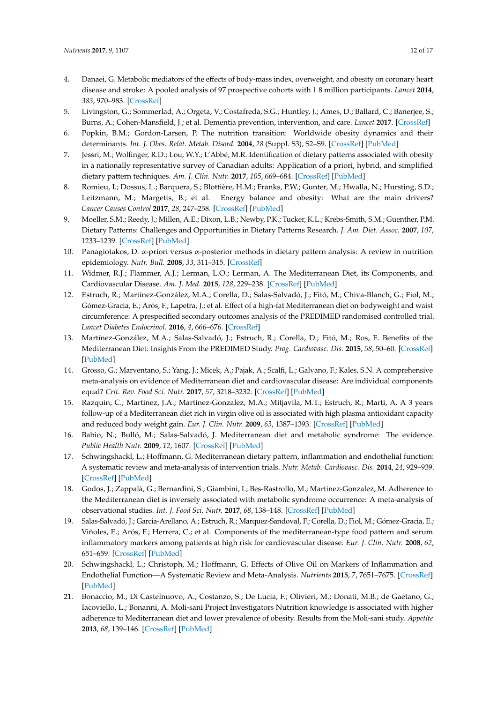- 4. Danaei, G. Metabolic mediators of the effects of body-mass index, overweight, and obesity on coronary heart disease and stroke: A pooled analysis of 97 prospective cohorts with 1 8 million participants. *Lancet* **2014**, *383*, 970–983. [\[CrossRef\]](http://dx.doi.org/10.1016/S0140-6736(13)61836-X)
- <span id="page-11-0"></span>5. Livingston, G.; Sommerlad, A.; Orgeta, V.; Costafreda, S.G.; Huntley, J.; Ames, D.; Ballard, C.; Banerjee, S.; Burns, A.; Cohen-Mansfield, J.; et al. Dementia prevention, intervention, and care. *Lancet* **2017**. [\[CrossRef\]](http://dx.doi.org/10.1016/S0140-6736(17)31363-6)
- <span id="page-11-1"></span>6. Popkin, B.M.; Gordon-Larsen, P. The nutrition transition: Worldwide obesity dynamics and their determinants. *Int. J. Obes. Relat. Metab. Disord.* **2004**, *28* (Suppl. S3), S2–S9. [\[CrossRef\]](http://dx.doi.org/10.1038/sj.ijo.0802804) [\[PubMed\]](http://www.ncbi.nlm.nih.gov/pubmed/15543214)
- <span id="page-11-2"></span>7. Jessri, M.; Wolfinger, R.D.; Lou, W.Y.; L'Abbé, M.R. Identification of dietary patterns associated with obesity in a nationally representative survey of Canadian adults: Application of a priori, hybrid, and simplified dietary pattern techniques. *Am. J. Clin. Nutr.* **2017**, *105*, 669–684. [\[CrossRef\]](http://dx.doi.org/10.3945/ajcn.116.134684) [\[PubMed\]](http://www.ncbi.nlm.nih.gov/pubmed/28148504)
- <span id="page-11-3"></span>8. Romieu, I.; Dossus, L.; Barquera, S.; Blottière, H.M.; Franks, P.W.; Gunter, M.; Hwalla, N.; Hursting, S.D.; Leitzmann, M.; Margetts, B.; et al. Energy balance and obesity: What are the main drivers? *Cancer Causes Control* **2017**, *28*, 247–258. [\[CrossRef\]](http://dx.doi.org/10.1007/s10552-017-0869-z) [\[PubMed\]](http://www.ncbi.nlm.nih.gov/pubmed/28210884)
- <span id="page-11-4"></span>9. Moeller, S.M.; Reedy, J.; Millen, A.E.; Dixon, L.B.; Newby, P.K.; Tucker, K.L.; Krebs-Smith, S.M.; Guenther, P.M. Dietary Patterns: Challenges and Opportunities in Dietary Patterns Research. *J. Am. Diet. Assoc.* **2007**, *107*, 1233–1239. [\[CrossRef\]](http://dx.doi.org/10.1016/j.jada.2007.03.014) [\[PubMed\]](http://www.ncbi.nlm.nih.gov/pubmed/17604756)
- <span id="page-11-5"></span>10. Panagiotakos, D. α-priori versus α-posterior methods in dietary pattern analysis: A review in nutrition epidemiology. *Nutr. Bull.* **2008**, *33*, 311–315. [\[CrossRef\]](http://dx.doi.org/10.1111/j.1467-3010.2008.00731.x)
- <span id="page-11-6"></span>11. Widmer, R.J.; Flammer, A.J.; Lerman, L.O.; Lerman, A. The Mediterranean Diet, its Components, and Cardiovascular Disease. *Am. J. Med.* **2015**, *128*, 229–238. [\[CrossRef\]](http://dx.doi.org/10.1016/j.amjmed.2014.10.014) [\[PubMed\]](http://www.ncbi.nlm.nih.gov/pubmed/25447615)
- <span id="page-11-7"></span>12. Estruch, R.; Martínez-González, M.A.; Corella, D.; Salas-Salvadó, J.; Fitó, M.; Chiva-Blanch, G.; Fiol, M.; Gómez-Gracia, E.; Arós, F.; Lapetra, J.; et al. Effect of a high-fat Mediterranean diet on bodyweight and waist circumference: A prespecified secondary outcomes analysis of the PREDIMED randomised controlled trial. *Lancet Diabetes Endocrinol.* **2016**, *4*, 666–676. [\[CrossRef\]](http://dx.doi.org/10.1016/S2213-8587(16)30085-7)
- <span id="page-11-8"></span>13. Martínez-González, M.A.; Salas-Salvadó, J.; Estruch, R.; Corella, D.; Fitó, M.; Ros, E. Benefits of the Mediterranean Diet: Insights From the PREDIMED Study. *Prog. Cardiovasc. Dis.* **2015**, *58*, 50–60. [\[CrossRef\]](http://dx.doi.org/10.1016/j.pcad.2015.04.003) [\[PubMed\]](http://www.ncbi.nlm.nih.gov/pubmed/25940230)
- <span id="page-11-9"></span>14. Grosso, G.; Marventano, S.; Yang, J.; Micek, A.; Pajak, A.; Scalfi, L.; Galvano, F.; Kales, S.N. A comprehensive meta-analysis on evidence of Mediterranean diet and cardiovascular disease: Are individual components equal? *Crit. Rev. Food Sci. Nutr.* **2017**, *57*, 3218–3232. [\[CrossRef\]](http://dx.doi.org/10.1080/10408398.2015.1107021) [\[PubMed\]](http://www.ncbi.nlm.nih.gov/pubmed/26528631)
- <span id="page-11-10"></span>15. Razquin, C.; Martinez, J.A.; Martinez-Gonzalez, M.A.; Mitjavila, M.T.; Estruch, R.; Marti, A. A 3 years follow-up of a Mediterranean diet rich in virgin olive oil is associated with high plasma antioxidant capacity and reduced body weight gain. *Eur. J. Clin. Nutr.* **2009**, *63*, 1387–1393. [\[CrossRef\]](http://dx.doi.org/10.1038/ejcn.2009.106) [\[PubMed\]](http://www.ncbi.nlm.nih.gov/pubmed/19707219)
- <span id="page-11-11"></span>16. Babio, N.; Bulló, M.; Salas-Salvadó, J. Mediterranean diet and metabolic syndrome: The evidence. *Public Health Nutr.* **2009**, *12*, 1607. [\[CrossRef\]](http://dx.doi.org/10.1017/S1368980009990449) [\[PubMed\]](http://www.ncbi.nlm.nih.gov/pubmed/19689829)
- <span id="page-11-12"></span>17. Schwingshackl, L.; Hoffmann, G. Mediterranean dietary pattern, inflammation and endothelial function: A systematic review and meta-analysis of intervention trials. *Nutr. Metab. Cardiovasc. Dis.* **2014**, *24*, 929–939. [\[CrossRef\]](http://dx.doi.org/10.1016/j.numecd.2014.03.003) [\[PubMed\]](http://www.ncbi.nlm.nih.gov/pubmed/24787907)
- <span id="page-11-13"></span>18. Godos, J.; Zappalà, G.; Bernardini, S.; Giambini, I.; Bes-Rastrollo, M.; Martinez-Gonzalez, M. Adherence to the Mediterranean diet is inversely associated with metabolic syndrome occurrence: A meta-analysis of observational studies. *Int. J. Food Sci. Nutr.* **2017**, *68*, 138–148. [\[CrossRef\]](http://dx.doi.org/10.1080/09637486.2016.1221900) [\[PubMed\]](http://www.ncbi.nlm.nih.gov/pubmed/27557591)
- <span id="page-11-14"></span>19. Salas-Salvadó, J.; Garcia-Arellano, A.; Estruch, R.; Marquez-Sandoval, F.; Corella, D.; Fiol, M.; Gómez-Gracia, E.; Viñoles, E.; Arós, F.; Herrera, C.; et al. Components of the mediterranean-type food pattern and serum inflammatory markers among patients at high risk for cardiovascular disease. *Eur. J. Clin. Nutr.* **2008**, *62*, 651–659. [\[CrossRef\]](http://dx.doi.org/10.1038/sj.ejcn.1602762) [\[PubMed\]](http://www.ncbi.nlm.nih.gov/pubmed/17440519)
- <span id="page-11-15"></span>20. Schwingshackl, L.; Christoph, M.; Hoffmann, G. Effects of Olive Oil on Markers of Inflammation and Endothelial Function—A Systematic Review and Meta-Analysis. *Nutrients* **2015**, *7*, 7651–7675. [\[CrossRef\]](http://dx.doi.org/10.3390/nu7095356) [\[PubMed\]](http://www.ncbi.nlm.nih.gov/pubmed/26378571)
- <span id="page-11-16"></span>21. Bonaccio, M.; Di Castelnuovo, A.; Costanzo, S.; De Lucia, F.; Olivieri, M.; Donati, M.B.; de Gaetano, G.; Iacoviello, L.; Bonanni, A. Moli-sani Project Investigators Nutrition knowledge is associated with higher adherence to Mediterranean diet and lower prevalence of obesity. Results from the Moli-sani study. *Appetite* **2013**, *68*, 139–146. [\[CrossRef\]](http://dx.doi.org/10.1016/j.appet.2013.04.026) [\[PubMed\]](http://www.ncbi.nlm.nih.gov/pubmed/23665233)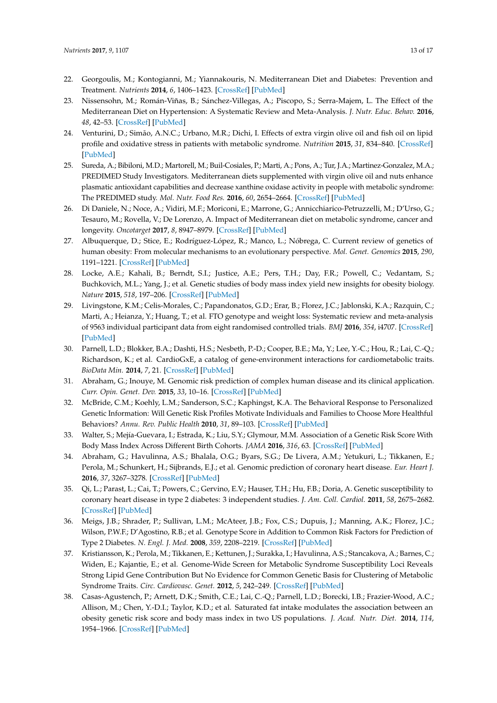- <span id="page-12-0"></span>22. Georgoulis, M.; Kontogianni, M.; Yiannakouris, N. Mediterranean Diet and Diabetes: Prevention and Treatment. *Nutrients* **2014**, *6*, 1406–1423. [\[CrossRef\]](http://dx.doi.org/10.3390/nu6041406) [\[PubMed\]](http://www.ncbi.nlm.nih.gov/pubmed/24714352)
- <span id="page-12-1"></span>23. Nissensohn, M.; Román-Viñas, B.; Sánchez-Villegas, A.; Piscopo, S.; Serra-Majem, L. The Effect of the Mediterranean Diet on Hypertension: A Systematic Review and Meta-Analysis. *J. Nutr. Educ. Behav.* **2016**, *48*, 42–53. [\[CrossRef\]](http://dx.doi.org/10.1016/j.jneb.2015.08.023) [\[PubMed\]](http://www.ncbi.nlm.nih.gov/pubmed/26483006)
- <span id="page-12-2"></span>24. Venturini, D.; Simão, A.N.C.; Urbano, M.R.; Dichi, I. Effects of extra virgin olive oil and fish oil on lipid profile and oxidative stress in patients with metabolic syndrome. *Nutrition* **2015**, *31*, 834–840. [\[CrossRef\]](http://dx.doi.org/10.1016/j.nut.2014.12.016) [\[PubMed\]](http://www.ncbi.nlm.nih.gov/pubmed/25933490)
- <span id="page-12-3"></span>25. Sureda, A.; Bibiloni, M.D.; Martorell, M.; Buil-Cosiales, P.; Marti, A.; Pons, A.; Tur, J.A.; Martinez-Gonzalez, M.A.; PREDIMED Study Investigators. Mediterranean diets supplemented with virgin olive oil and nuts enhance plasmatic antioxidant capabilities and decrease xanthine oxidase activity in people with metabolic syndrome: The PREDIMED study. *Mol. Nutr. Food Res.* **2016**, *60*, 2654–2664. [\[CrossRef\]](http://dx.doi.org/10.1002/mnfr.201600450) [\[PubMed\]](http://www.ncbi.nlm.nih.gov/pubmed/27600061)
- <span id="page-12-4"></span>26. Di Daniele, N.; Noce, A.; Vidiri, M.F.; Moriconi, E.; Marrone, G.; Annicchiarico-Petruzzelli, M.; D'Urso, G.; Tesauro, M.; Rovella, V.; De Lorenzo, A. Impact of Mediterranean diet on metabolic syndrome, cancer and longevity. *Oncotarget* **2017**, *8*, 8947–8979. [\[CrossRef\]](http://dx.doi.org/10.18632/oncotarget.13553) [\[PubMed\]](http://www.ncbi.nlm.nih.gov/pubmed/27894098)
- <span id="page-12-5"></span>27. Albuquerque, D.; Stice, E.; Rodríguez-López, R.; Manco, L.; Nóbrega, C. Current review of genetics of human obesity: From molecular mechanisms to an evolutionary perspective. *Mol. Genet. Genomics* **2015**, *290*, 1191–1221. [\[CrossRef\]](http://dx.doi.org/10.1007/s00438-015-1015-9) [\[PubMed\]](http://www.ncbi.nlm.nih.gov/pubmed/25749980)
- <span id="page-12-6"></span>28. Locke, A.E.; Kahali, B.; Berndt, S.I.; Justice, A.E.; Pers, T.H.; Day, F.R.; Powell, C.; Vedantam, S.; Buchkovich, M.L.; Yang, J.; et al. Genetic studies of body mass index yield new insights for obesity biology. *Nature* **2015**, *518*, 197–206. [\[CrossRef\]](http://dx.doi.org/10.1038/nature14177) [\[PubMed\]](http://www.ncbi.nlm.nih.gov/pubmed/25673413)
- <span id="page-12-7"></span>29. Livingstone, K.M.; Celis-Morales, C.; Papandonatos, G.D.; Erar, B.; Florez, J.C.; Jablonski, K.A.; Razquin, C.; Marti, A.; Heianza, Y.; Huang, T.; et al. FTO genotype and weight loss: Systematic review and meta-analysis of 9563 individual participant data from eight randomised controlled trials. *BMJ* **2016**, *354*, i4707. [\[CrossRef\]](http://dx.doi.org/10.1136/bmj.i4707) [\[PubMed\]](http://www.ncbi.nlm.nih.gov/pubmed/27650503)
- <span id="page-12-8"></span>30. Parnell, L.D.; Blokker, B.A.; Dashti, H.S.; Nesbeth, P.-D.; Cooper, B.E.; Ma, Y.; Lee, Y.-C.; Hou, R.; Lai, C.-Q.; Richardson, K.; et al. CardioGxE, a catalog of gene-environment interactions for cardiometabolic traits. *BioData Min.* **2014**, *7*, 21. [\[CrossRef\]](http://dx.doi.org/10.1186/1756-0381-7-21) [\[PubMed\]](http://www.ncbi.nlm.nih.gov/pubmed/25368670)
- <span id="page-12-9"></span>31. Abraham, G.; Inouye, M. Genomic risk prediction of complex human disease and its clinical application. *Curr. Opin. Genet. Dev.* **2015**, *33*, 10–16. [\[CrossRef\]](http://dx.doi.org/10.1016/j.gde.2015.06.005) [\[PubMed\]](http://www.ncbi.nlm.nih.gov/pubmed/26210231)
- <span id="page-12-10"></span>32. McBride, C.M.; Koehly, L.M.; Sanderson, S.C.; Kaphingst, K.A. The Behavioral Response to Personalized Genetic Information: Will Genetic Risk Profiles Motivate Individuals and Families to Choose More Healthful Behaviors? *Annu. Rev. Public Health* **2010**, *31*, 89–103. [\[CrossRef\]](http://dx.doi.org/10.1146/annurev.publhealth.012809.103532) [\[PubMed\]](http://www.ncbi.nlm.nih.gov/pubmed/20070198)
- <span id="page-12-11"></span>33. Walter, S.; Mejía-Guevara, I.; Estrada, K.; Liu, S.Y.; Glymour, M.M. Association of a Genetic Risk Score With Body Mass Index Across Different Birth Cohorts. *JAMA* **2016**, *316*, 63. [\[CrossRef\]](http://dx.doi.org/10.1001/jama.2016.8729) [\[PubMed\]](http://www.ncbi.nlm.nih.gov/pubmed/27380344)
- <span id="page-12-12"></span>34. Abraham, G.; Havulinna, A.S.; Bhalala, O.G.; Byars, S.G.; De Livera, A.M.; Yetukuri, L.; Tikkanen, E.; Perola, M.; Schunkert, H.; Sijbrands, E.J.; et al. Genomic prediction of coronary heart disease. *Eur. Heart J.* **2016**, *37*, 3267–3278. [\[CrossRef\]](http://dx.doi.org/10.1093/eurheartj/ehw450) [\[PubMed\]](http://www.ncbi.nlm.nih.gov/pubmed/27655226)
- 35. Qi, L.; Parast, L.; Cai, T.; Powers, C.; Gervino, E.V.; Hauser, T.H.; Hu, F.B.; Doria, A. Genetic susceptibility to coronary heart disease in type 2 diabetes: 3 independent studies. *J. Am. Coll. Cardiol.* **2011**, *58*, 2675–2682. [\[CrossRef\]](http://dx.doi.org/10.1016/j.jacc.2011.08.054) [\[PubMed\]](http://www.ncbi.nlm.nih.gov/pubmed/22152955)
- <span id="page-12-13"></span>36. Meigs, J.B.; Shrader, P.; Sullivan, L.M.; McAteer, J.B.; Fox, C.S.; Dupuis, J.; Manning, A.K.; Florez, J.C.; Wilson, P.W.F.; D'Agostino, R.B.; et al. Genotype Score in Addition to Common Risk Factors for Prediction of Type 2 Diabetes. *N. Engl. J. Med.* **2008**, *359*, 2208–2219. [\[CrossRef\]](http://dx.doi.org/10.1056/NEJMoa0804742) [\[PubMed\]](http://www.ncbi.nlm.nih.gov/pubmed/19020323)
- <span id="page-12-14"></span>37. Kristiansson, K.; Perola, M.; Tikkanen, E.; Kettunen, J.; Surakka, I.; Havulinna, A.S.; Stancakova, A.; Barnes, C.; Widen, E.; Kajantie, E.; et al. Genome-Wide Screen for Metabolic Syndrome Susceptibility Loci Reveals Strong Lipid Gene Contribution But No Evidence for Common Genetic Basis for Clustering of Metabolic Syndrome Traits. *Circ. Cardiovasc. Genet.* **2012**, *5*, 242–249. [\[CrossRef\]](http://dx.doi.org/10.1161/CIRCGENETICS.111.961482) [\[PubMed\]](http://www.ncbi.nlm.nih.gov/pubmed/22399527)
- <span id="page-12-15"></span>38. Casas-Agustench, P.; Arnett, D.K.; Smith, C.E.; Lai, C.-Q.; Parnell, L.D.; Borecki, I.B.; Frazier-Wood, A.C.; Allison, M.; Chen, Y.-D.I.; Taylor, K.D.; et al. Saturated fat intake modulates the association between an obesity genetic risk score and body mass index in two US populations. *J. Acad. Nutr. Diet.* **2014**, *114*, 1954–1966. [\[CrossRef\]](http://dx.doi.org/10.1016/j.jand.2014.03.014) [\[PubMed\]](http://www.ncbi.nlm.nih.gov/pubmed/24794412)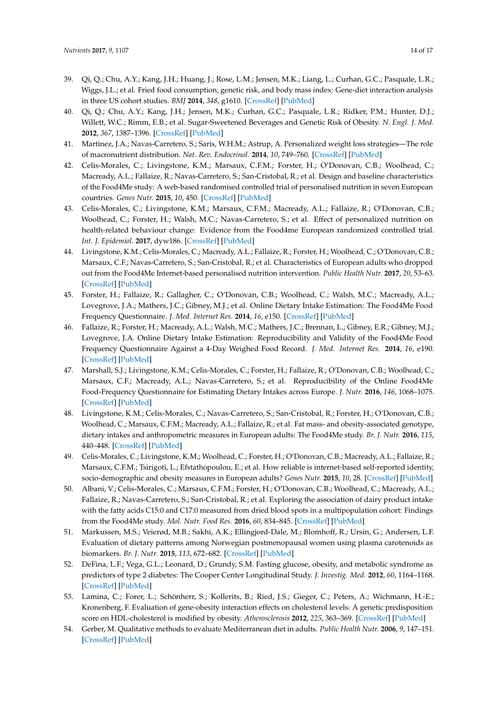- <span id="page-13-0"></span>39. Qi, Q.; Chu, A.Y.; Kang, J.H.; Huang, J.; Rose, L.M.; Jensen, M.K.; Liang, L.; Curhan, G.C.; Pasquale, L.R.; Wiggs, J.L.; et al. Fried food consumption, genetic risk, and body mass index: Gene-diet interaction analysis in three US cohort studies. *BMJ* **2014**, *348*, g1610. [\[CrossRef\]](http://dx.doi.org/10.1136/bmj.g1610) [\[PubMed\]](http://www.ncbi.nlm.nih.gov/pubmed/24646652)
- <span id="page-13-1"></span>40. Qi, Q.; Chu, A.Y.; Kang, J.H.; Jensen, M.K.; Curhan, G.C.; Pasquale, L.R.; Ridker, P.M.; Hunter, D.J.; Willett, W.C.; Rimm, E.B.; et al. Sugar-Sweetened Beverages and Genetic Risk of Obesity. *N. Engl. J. Med.* **2012**, *367*, 1387–1396. [\[CrossRef\]](http://dx.doi.org/10.1056/NEJMoa1203039) [\[PubMed\]](http://www.ncbi.nlm.nih.gov/pubmed/22998338)
- <span id="page-13-2"></span>41. Martinez, J.A.; Navas-Carretero, S.; Saris, W.H.M.; Astrup, A. Personalized weight loss strategies—The role of macronutrient distribution. *Nat. Rev. Endocrinol.* **2014**, *10*, 749–760. [\[CrossRef\]](http://dx.doi.org/10.1038/nrendo.2014.175) [\[PubMed\]](http://www.ncbi.nlm.nih.gov/pubmed/25311395)
- <span id="page-13-3"></span>42. Celis-Morales, C.; Livingstone, K.M.; Marsaux, C.F.M.; Forster, H.; O'Donovan, C.B.; Woolhead, C.; Macready, A.L.; Fallaize, R.; Navas-Carretero, S.; San-Cristobal, R.; et al. Design and baseline characteristics of the Food4Me study: A web-based randomised controlled trial of personalised nutrition in seven European countries. *Genes Nutr.* **2015**, *10*, 450. [\[CrossRef\]](http://dx.doi.org/10.1007/s12263-014-0450-2) [\[PubMed\]](http://www.ncbi.nlm.nih.gov/pubmed/25491748)
- <span id="page-13-4"></span>43. Celis-Morales, C.; Livingstone, K.M.; Marsaux, C.F.M.; Macready, A.L.; Fallaize, R.; O'Donovan, C.B.; Woolhead, C.; Forster, H.; Walsh, M.C.; Navas-Carretero, S.; et al. Effect of personalized nutrition on health-related behaviour change: Evidence from the Food4me European randomized controlled trial. *Int. J. Epidemiol.* **2017**, dyw186. [\[CrossRef\]](http://dx.doi.org/10.1093/ije/dyw186) [\[PubMed\]](http://www.ncbi.nlm.nih.gov/pubmed/27524815)
- <span id="page-13-5"></span>44. Livingstone, K.M.; Celis-Morales, C.; Macready, A.L.; Fallaize, R.; Forster, H.; Woolhead, C.; O'Donovan, C.B.; Marsaux, C.F.; Navas-Carretero, S.; San-Cristobal, R.; et al. Characteristics of European adults who dropped out from the Food4Me Internet-based personalised nutrition intervention. *Public Health Nutr.* **2017**, *20*, 53–63. [\[CrossRef\]](http://dx.doi.org/10.1017/S1368980016002020) [\[PubMed\]](http://www.ncbi.nlm.nih.gov/pubmed/27492149)
- <span id="page-13-6"></span>45. Forster, H.; Fallaize, R.; Gallagher, C.; O'Donovan, C.B.; Woolhead, C.; Walsh, M.C.; Macready, A.L.; Lovegrove, J.A.; Mathers, J.C.; Gibney, M.J.; et al. Online Dietary Intake Estimation: The Food4Me Food Frequency Questionnaire. *J. Med. Internet Res.* **2014**, *16*, e150. [\[CrossRef\]](http://dx.doi.org/10.2196/jmir.3105) [\[PubMed\]](http://www.ncbi.nlm.nih.gov/pubmed/24911957)
- 46. Fallaize, R.; Forster, H.; Macready, A.L.; Walsh, M.C.; Mathers, J.C.; Brennan, L.; Gibney, E.R.; Gibney, M.J.; Lovegrove, J.A. Online Dietary Intake Estimation: Reproducibility and Validity of the Food4Me Food Frequency Questionnaire Against a 4-Day Weighed Food Record. *J. Med. Internet Res.* **2014**, *16*, e190. [\[CrossRef\]](http://dx.doi.org/10.2196/jmir.3355) [\[PubMed\]](http://www.ncbi.nlm.nih.gov/pubmed/25113936)
- <span id="page-13-7"></span>47. Marshall, S.J.; Livingstone, K.M.; Celis-Morales, C.; Forster, H.; Fallaize, R.; O'Donovan, C.B.; Woolhead, C.; Marsaux, C.F.; Macready, A.L.; Navas-Carretero, S.; et al. Reproducibility of the Online Food4Me Food-Frequency Questionnaire for Estimating Dietary Intakes across Europe. *J. Nutr.* **2016**, *146*, 1068–1075. [\[CrossRef\]](http://dx.doi.org/10.3945/jn.115.225078) [\[PubMed\]](http://www.ncbi.nlm.nih.gov/pubmed/27052541)
- <span id="page-13-8"></span>48. Livingstone, K.M.; Celis-Morales, C.; Navas-Carretero, S.; San-Cristobal, R.; Forster, H.; O'Donovan, C.B.; Woolhead, C.; Marsaux, C.F.M.; Macready, A.L.; Fallaize, R.; et al. Fat mass- and obesity-associated genotype, dietary intakes and anthropometric measures in European adults: The Food4Me study. *Br. J. Nutr.* **2016**, *115*, 440–448. [\[CrossRef\]](http://dx.doi.org/10.1017/S0007114515004675) [\[PubMed\]](http://www.ncbi.nlm.nih.gov/pubmed/26620191)
- <span id="page-13-9"></span>49. Celis-Morales, C.; Livingstone, K.M.; Woolhead, C.; Forster, H.; O'Donovan, C.B.; Macready, A.L.; Fallaize, R.; Marsaux, C.F.M.; Tsirigoti, L.; Efstathopoulou, E.; et al. How reliable is internet-based self-reported identity, socio-demographic and obesity measures in European adults? *Genes Nutr.* **2015**, *10*, 28. [\[CrossRef\]](http://dx.doi.org/10.1007/s12263-015-0476-0) [\[PubMed\]](http://www.ncbi.nlm.nih.gov/pubmed/26143178)
- <span id="page-13-10"></span>50. Albani, V.; Celis-Morales, C.; Marsaux, C.F.M.; Forster, H.; O'Donovan, C.B.; Woolhead, C.; Macready, A.L.; Fallaize, R.; Navas-Carretero, S.; San-Cristobal, R.; et al. Exploring the association of dairy product intake with the fatty acids C15:0 and C17:0 measured from dried blood spots in a multipopulation cohort: Findings from the Food4Me study. *Mol. Nutr. Food Res.* **2016**, *60*, 834–845. [\[CrossRef\]](http://dx.doi.org/10.1002/mnfr.201500483) [\[PubMed\]](http://www.ncbi.nlm.nih.gov/pubmed/26678873)
- <span id="page-13-11"></span>51. Markussen, M.S.; Veierød, M.B.; Sakhi, A.K.; Ellingjord-Dale, M.; Blomhoff, R.; Ursin, G.; Andersen, L.F. Evaluation of dietary patterns among Norwegian postmenopausal women using plasma carotenoids as biomarkers. *Br. J. Nutr.* **2015**, *113*, 672–682. [\[CrossRef\]](http://dx.doi.org/10.1017/S0007114514004103) [\[PubMed\]](http://www.ncbi.nlm.nih.gov/pubmed/25622727)
- <span id="page-13-12"></span>52. DeFina, L.F.; Vega, G.L.; Leonard, D.; Grundy, S.M. Fasting glucose, obesity, and metabolic syndrome as predictors of type 2 diabetes: The Cooper Center Longitudinal Study. *J. Investig. Med.* **2012**, *60*, 1164–1168. [\[CrossRef\]](http://dx.doi.org/10.2310/JIM.0b013e318275656a) [\[PubMed\]](http://www.ncbi.nlm.nih.gov/pubmed/23111652)
- <span id="page-13-13"></span>53. Lamina, C.; Forer, L.; Schönherr, S.; Kollerits, B.; Ried, J.S.; Gieger, C.; Peters, A.; Wichmann, H.-E.; Kronenberg, F. Evaluation of gene-obesity interaction effects on cholesterol levels: A genetic predisposition score on HDL-cholesterol is modified by obesity. *Atherosclerosis* **2012**, *225*, 363–369. [\[CrossRef\]](http://dx.doi.org/10.1016/j.atherosclerosis.2012.09.016) [\[PubMed\]](http://www.ncbi.nlm.nih.gov/pubmed/23058813)
- <span id="page-13-14"></span>54. Gerber, M. Qualitative methods to evaluate Mediterranean diet in adults. *Public Health Nutr.* **2006**, *9*, 147–151. [\[CrossRef\]](http://dx.doi.org/10.1079/PHN2005937) [\[PubMed\]](http://www.ncbi.nlm.nih.gov/pubmed/16512962)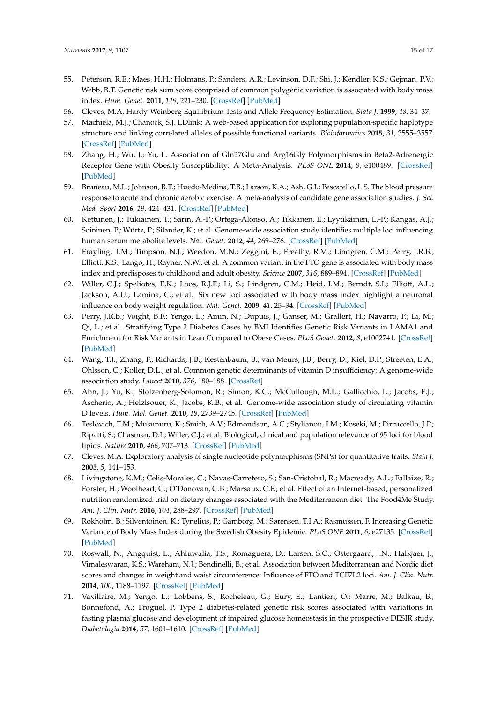- <span id="page-14-0"></span>55. Peterson, R.E.; Maes, H.H.; Holmans, P.; Sanders, A.R.; Levinson, D.F.; Shi, J.; Kendler, K.S.; Gejman, P.V.; Webb, B.T. Genetic risk sum score comprised of common polygenic variation is associated with body mass index. *Hum. Genet.* **2011**, *129*, 221–230. [\[CrossRef\]](http://dx.doi.org/10.1007/s00439-010-0917-1) [\[PubMed\]](http://www.ncbi.nlm.nih.gov/pubmed/21104096)
- <span id="page-14-1"></span>56. Cleves, M.A. Hardy-Weinberg Equilibrium Tests and Allele Frequency Estimation. *Stata J.* **1999**, *48*, 34–37.
- <span id="page-14-2"></span>57. Machiela, M.J.; Chanock, S.J. LDlink: A web-based application for exploring population-specific haplotype structure and linking correlated alleles of possible functional variants. *Bioinformatics* **2015**, *31*, 3555–3557. [\[CrossRef\]](http://dx.doi.org/10.1093/bioinformatics/btv402) [\[PubMed\]](http://www.ncbi.nlm.nih.gov/pubmed/26139635)
- <span id="page-14-3"></span>58. Zhang, H.; Wu, J.; Yu, L. Association of Gln27Glu and Arg16Gly Polymorphisms in Beta2-Adrenergic Receptor Gene with Obesity Susceptibility: A Meta-Analysis. *PLoS ONE* **2014**, *9*, e100489. [\[CrossRef\]](http://dx.doi.org/10.1371/journal.pone.0100489) [\[PubMed\]](http://www.ncbi.nlm.nih.gov/pubmed/24960039)
- <span id="page-14-4"></span>59. Bruneau, M.L.; Johnson, B.T.; Huedo-Medina, T.B.; Larson, K.A.; Ash, G.I.; Pescatello, L.S. The blood pressure response to acute and chronic aerobic exercise: A meta-analysis of candidate gene association studies. *J. Sci. Med. Sport* **2016**, *19*, 424–431. [\[CrossRef\]](http://dx.doi.org/10.1016/j.jsams.2015.05.009) [\[PubMed\]](http://www.ncbi.nlm.nih.gov/pubmed/26122461)
- <span id="page-14-5"></span>60. Kettunen, J.; Tukiainen, T.; Sarin, A.-P.; Ortega-Alonso, A.; Tikkanen, E.; Lyytikäinen, L.-P.; Kangas, A.J.; Soininen, P.; Würtz, P.; Silander, K.; et al. Genome-wide association study identifies multiple loci influencing human serum metabolite levels. *Nat. Genet.* **2012**, *44*, 269–276. [\[CrossRef\]](http://dx.doi.org/10.1038/ng.1073) [\[PubMed\]](http://www.ncbi.nlm.nih.gov/pubmed/22286219)
- <span id="page-14-6"></span>61. Frayling, T.M.; Timpson, N.J.; Weedon, M.N.; Zeggini, E.; Freathy, R.M.; Lindgren, C.M.; Perry, J.R.B.; Elliott, K.S.; Lango, H.; Rayner, N.W.; et al. A common variant in the FTO gene is associated with body mass index and predisposes to childhood and adult obesity. *Science* **2007**, *316*, 889–894. [\[CrossRef\]](http://dx.doi.org/10.1126/science.1141634) [\[PubMed\]](http://www.ncbi.nlm.nih.gov/pubmed/17434869)
- 62. Willer, C.J.; Speliotes, E.K.; Loos, R.J.F.; Li, S.; Lindgren, C.M.; Heid, I.M.; Berndt, S.I.; Elliott, A.L.; Jackson, A.U.; Lamina, C.; et al. Six new loci associated with body mass index highlight a neuronal influence on body weight regulation. *Nat. Genet.* **2009**, *41*, 25–34. [\[CrossRef\]](http://dx.doi.org/10.1038/ng.287) [\[PubMed\]](http://www.ncbi.nlm.nih.gov/pubmed/19079261)
- <span id="page-14-7"></span>63. Perry, J.R.B.; Voight, B.F.; Yengo, L.; Amin, N.; Dupuis, J.; Ganser, M.; Grallert, H.; Navarro, P.; Li, M.; Qi, L.; et al. Stratifying Type 2 Diabetes Cases by BMI Identifies Genetic Risk Variants in LAMA1 and Enrichment for Risk Variants in Lean Compared to Obese Cases. *PLoS Genet.* **2012**, *8*, e1002741. [\[CrossRef\]](http://dx.doi.org/10.1371/journal.pgen.1002741) [\[PubMed\]](http://www.ncbi.nlm.nih.gov/pubmed/22693455)
- <span id="page-14-8"></span>64. Wang, T.J.; Zhang, F.; Richards, J.B.; Kestenbaum, B.; van Meurs, J.B.; Berry, D.; Kiel, D.P.; Streeten, E.A.; Ohlsson, C.; Koller, D.L.; et al. Common genetic determinants of vitamin D insufficiency: A genome-wide association study. *Lancet* **2010**, *376*, 180–188. [\[CrossRef\]](http://dx.doi.org/10.1016/S0140-6736(10)60588-0)
- <span id="page-14-9"></span>65. Ahn, J.; Yu, K.; Stolzenberg-Solomon, R.; Simon, K.C.; McCullough, M.L.; Gallicchio, L.; Jacobs, E.J.; Ascherio, A.; Helzlsouer, K.; Jacobs, K.B.; et al. Genome-wide association study of circulating vitamin D levels. *Hum. Mol. Genet.* **2010**, *19*, 2739–2745. [\[CrossRef\]](http://dx.doi.org/10.1093/hmg/ddq155) [\[PubMed\]](http://www.ncbi.nlm.nih.gov/pubmed/20418485)
- <span id="page-14-10"></span>66. Teslovich, T.M.; Musunuru, K.; Smith, A.V.; Edmondson, A.C.; Stylianou, I.M.; Koseki, M.; Pirruccello, J.P.; Ripatti, S.; Chasman, D.I.; Willer, C.J.; et al. Biological, clinical and population relevance of 95 loci for blood lipids. *Nature* **2010**, *466*, 707–713. [\[CrossRef\]](http://dx.doi.org/10.1038/nature09270) [\[PubMed\]](http://www.ncbi.nlm.nih.gov/pubmed/20686565)
- <span id="page-14-11"></span>67. Cleves, M.A. Exploratory analysis of single nucleotide polymorphisms (SNPs) for quantitative traits. *Stata J.* **2005**, *5*, 141–153.
- <span id="page-14-12"></span>68. Livingstone, K.M.; Celis-Morales, C.; Navas-Carretero, S.; San-Cristobal, R.; Macready, A.L.; Fallaize, R.; Forster, H.; Woolhead, C.; O'Donovan, C.B.; Marsaux, C.F.; et al. Effect of an Internet-based, personalized nutrition randomized trial on dietary changes associated with the Mediterranean diet: The Food4Me Study. *Am. J. Clin. Nutr.* **2016**, *104*, 288–297. [\[CrossRef\]](http://dx.doi.org/10.3945/ajcn.115.129049) [\[PubMed\]](http://www.ncbi.nlm.nih.gov/pubmed/27357094)
- <span id="page-14-13"></span>69. Rokholm, B.; Silventoinen, K.; Tynelius, P.; Gamborg, M.; Sørensen, T.I.A.; Rasmussen, F. Increasing Genetic Variance of Body Mass Index during the Swedish Obesity Epidemic. *PLoS ONE* **2011**, *6*, e27135. [\[CrossRef\]](http://dx.doi.org/10.1371/journal.pone.0027135) [\[PubMed\]](http://www.ncbi.nlm.nih.gov/pubmed/22087252)
- <span id="page-14-14"></span>70. Roswall, N.; Angquist, L.; Ahluwalia, T.S.; Romaguera, D.; Larsen, S.C.; Ostergaard, J.N.; Halkjaer, J.; Vimaleswaran, K.S.; Wareham, N.J.; Bendinelli, B.; et al. Association between Mediterranean and Nordic diet scores and changes in weight and waist circumference: Influence of FTO and TCF7L2 loci. *Am. J. Clin. Nutr.* **2014**, *100*, 1188–1197. [\[CrossRef\]](http://dx.doi.org/10.3945/ajcn.114.089706) [\[PubMed\]](http://www.ncbi.nlm.nih.gov/pubmed/25099543)
- <span id="page-14-15"></span>71. Vaxillaire, M.; Yengo, L.; Lobbens, S.; Rocheleau, G.; Eury, E.; Lantieri, O.; Marre, M.; Balkau, B.; Bonnefond, A.; Froguel, P. Type 2 diabetes-related genetic risk scores associated with variations in fasting plasma glucose and development of impaired glucose homeostasis in the prospective DESIR study. *Diabetologia* **2014**, *57*, 1601–1610. [\[CrossRef\]](http://dx.doi.org/10.1007/s00125-014-3277-x) [\[PubMed\]](http://www.ncbi.nlm.nih.gov/pubmed/24893864)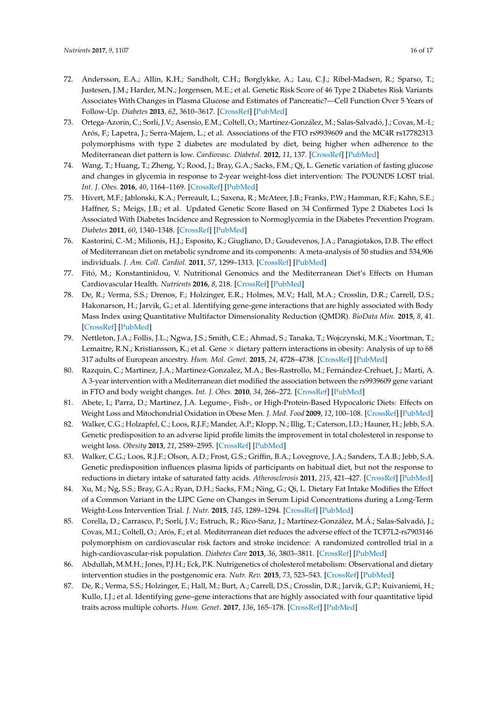- <span id="page-15-0"></span>72. Andersson, E.A.; Allin, K.H.; Sandholt, C.H.; Borglykke, A.; Lau, C.J.; Ribel-Madsen, R.; Sparso, T.; Justesen, J.M.; Harder, M.N.; Jorgensen, M.E.; et al. Genetic Risk Score of 46 Type 2 Diabetes Risk Variants Associates With Changes in Plasma Glucose and Estimates of Pancreatic?—Cell Function Over 5 Years of Follow-Up. *Diabetes* **2013**, *62*, 3610–3617. [\[CrossRef\]](http://dx.doi.org/10.2337/db13-0362) [\[PubMed\]](http://www.ncbi.nlm.nih.gov/pubmed/23835328)
- <span id="page-15-1"></span>73. Ortega-Azorín, C.; Sorlí, J.V.; Asensio, E.M.; Coltell, O.; Martínez-González, M.; Salas-Salvadó, J.; Covas, M.-I.; Arós, F.; Lapetra, J.; Serra-Majem, L.; et al. Associations of the FTO rs9939609 and the MC4R rs17782313 polymorphisms with type 2 diabetes are modulated by diet, being higher when adherence to the Mediterranean diet pattern is low. *Cardiovasc. Diabetol.* **2012**, *11*, 137. [\[CrossRef\]](http://dx.doi.org/10.1186/1475-2840-11-137) [\[PubMed\]](http://www.ncbi.nlm.nih.gov/pubmed/23130628)
- <span id="page-15-2"></span>74. Wang, T.; Huang, T.; Zheng, Y.; Rood, J.; Bray, G.A.; Sacks, F.M.; Qi, L. Genetic variation of fasting glucose and changes in glycemia in response to 2-year weight-loss diet intervention: The POUNDS LOST trial. *Int. J. Obes.* **2016**, *40*, 1164–1169. [\[CrossRef\]](http://dx.doi.org/10.1038/ijo.2016.41) [\[PubMed\]](http://www.ncbi.nlm.nih.gov/pubmed/27113490)
- <span id="page-15-3"></span>75. Hivert, M.F.; Jablonski, K.A.; Perreault, L.; Saxena, R.; McAteer, J.B.; Franks, P.W.; Hamman, R.F.; Kahn, S.E.; Haffner, S.; Meigs, J.B.; et al. Updated Genetic Score Based on 34 Confirmed Type 2 Diabetes Loci Is Associated With Diabetes Incidence and Regression to Normoglycemia in the Diabetes Prevention Program. *Diabetes* **2011**, *60*, 1340–1348. [\[CrossRef\]](http://dx.doi.org/10.2337/db10-1119) [\[PubMed\]](http://www.ncbi.nlm.nih.gov/pubmed/21378175)
- <span id="page-15-4"></span>76. Kastorini, C.-M.; Milionis, H.J.; Esposito, K.; Giugliano, D.; Goudevenos, J.A.; Panagiotakos, D.B. The effect of Mediterranean diet on metabolic syndrome and its components: A meta-analysis of 50 studies and 534,906 individuals. *J. Am. Coll. Cardiol.* **2011**, *57*, 1299–1313. [\[CrossRef\]](http://dx.doi.org/10.1016/j.jacc.2010.09.073) [\[PubMed\]](http://www.ncbi.nlm.nih.gov/pubmed/21392646)
- <span id="page-15-5"></span>77. Fitó, M.; Konstantinidou, V. Nutritional Genomics and the Mediterranean Diet's Effects on Human Cardiovascular Health. *Nutrients* **2016**, *8*, 218. [\[CrossRef\]](http://dx.doi.org/10.3390/nu8040218) [\[PubMed\]](http://www.ncbi.nlm.nih.gov/pubmed/27089360)
- <span id="page-15-6"></span>78. De, R.; Verma, S.S.; Drenos, F.; Holzinger, E.R.; Holmes, M.V.; Hall, M.A.; Crosslin, D.R.; Carrell, D.S.; Hakonarson, H.; Jarvik, G.; et al. Identifying gene-gene interactions that are highly associated with Body Mass Index using Quantitative Multifactor Dimensionality Reduction (QMDR). *BioData Min.* **2015**, *8*, 41. [\[CrossRef\]](http://dx.doi.org/10.1186/s13040-015-0074-0) [\[PubMed\]](http://www.ncbi.nlm.nih.gov/pubmed/26674805)
- <span id="page-15-7"></span>79. Nettleton, J.A.; Follis, J.L.; Ngwa, J.S.; Smith, C.E.; Ahmad, S.; Tanaka, T.; Wojczynski, M.K.; Voortman, T.; Lemaitre, R.N.; Kristiansson, K.; et al. Gene  $\times$  dietary pattern interactions in obesity: Analysis of up to 68 317 adults of European ancestry. *Hum. Mol. Genet.* **2015**, *24*, 4728–4738. [\[CrossRef\]](http://dx.doi.org/10.1093/hmg/ddv186) [\[PubMed\]](http://www.ncbi.nlm.nih.gov/pubmed/25994509)
- <span id="page-15-8"></span>80. Razquin, C.; Martinez, J.A.; Martinez-Gonzalez, M.A.; Bes-Rastrollo, M.; Fernández-Crehuet, J.; Marti, A. A 3-year intervention with a Mediterranean diet modified the association between the rs9939609 gene variant in FTO and body weight changes. *Int. J. Obes.* **2010**, *34*, 266–272. [\[CrossRef\]](http://dx.doi.org/10.1038/ijo.2009.233) [\[PubMed\]](http://www.ncbi.nlm.nih.gov/pubmed/19918250)
- <span id="page-15-9"></span>81. Abete, I.; Parra, D.; Martinez, J.A. Legume-, Fish-, or High-Protein-Based Hypocaloric Diets: Effects on Weight Loss and Mitochondrial Oxidation in Obese Men. *J. Med. Food* **2009**, *12*, 100–108. [\[CrossRef\]](http://dx.doi.org/10.1089/jmf.2007.0700) [\[PubMed\]](http://www.ncbi.nlm.nih.gov/pubmed/19298202)
- <span id="page-15-10"></span>82. Walker, C.G.; Holzapfel, C.; Loos, R.J.F.; Mander, A.P.; Klopp, N.; Illig, T.; Caterson, I.D.; Hauner, H.; Jebb, S.A. Genetic predisposition to an adverse lipid profile limits the improvement in total cholesterol in response to weight loss. *Obesity* **2013**, *21*, 2589–2595. [\[CrossRef\]](http://dx.doi.org/10.1002/oby.20328) [\[PubMed\]](http://www.ncbi.nlm.nih.gov/pubmed/23418103)
- <span id="page-15-11"></span>83. Walker, C.G.; Loos, R.J.F.; Olson, A.D.; Frost, G.S.; Griffin, B.A.; Lovegrove, J.A.; Sanders, T.A.B.; Jebb, S.A. Genetic predisposition influences plasma lipids of participants on habitual diet, but not the response to reductions in dietary intake of saturated fatty acids. *Atherosclerosis* **2011**, *215*, 421–427. [\[CrossRef\]](http://dx.doi.org/10.1016/j.atherosclerosis.2010.12.039) [\[PubMed\]](http://www.ncbi.nlm.nih.gov/pubmed/21292264)
- <span id="page-15-12"></span>84. Xu, M.; Ng, S.S.; Bray, G.A.; Ryan, D.H.; Sacks, F.M.; Ning, G.; Qi, L. Dietary Fat Intake Modifies the Effect of a Common Variant in the LIPC Gene on Changes in Serum Lipid Concentrations during a Long-Term Weight-Loss Intervention Trial. *J. Nutr.* **2015**, *145*, 1289–1294. [\[CrossRef\]](http://dx.doi.org/10.3945/jn.115.212514) [\[PubMed\]](http://www.ncbi.nlm.nih.gov/pubmed/25926410)
- <span id="page-15-13"></span>85. Corella, D.; Carrasco, P.; Sorlí, J.V.; Estruch, R.; Rico-Sanz, J.; Martínez-González, M.Á.; Salas-Salvadó, J.; Covas, M.I.; Coltell, O.; Arós, F.; et al. Mediterranean diet reduces the adverse effect of the TCF7L2-rs7903146 polymorphism on cardiovascular risk factors and stroke incidence: A randomized controlled trial in a high-cardiovascular-risk population. *Diabetes Care* **2013**, *36*, 3803–3811. [\[CrossRef\]](http://dx.doi.org/10.2337/dc13-0955) [\[PubMed\]](http://www.ncbi.nlm.nih.gov/pubmed/23942586)
- <span id="page-15-14"></span>86. Abdullah, M.M.H.; Jones, P.J.H.; Eck, P.K. Nutrigenetics of cholesterol metabolism: Observational and dietary intervention studies in the postgenomic era. *Nutr. Rev.* **2015**, *73*, 523–543. [\[CrossRef\]](http://dx.doi.org/10.1093/nutrit/nuv016) [\[PubMed\]](http://www.ncbi.nlm.nih.gov/pubmed/26117841)
- <span id="page-15-15"></span>87. De, R.; Verma, S.S.; Holzinger, E.; Hall, M.; Burt, A.; Carrell, D.S.; Crosslin, D.R.; Jarvik, G.P.; Kuivaniemi, H.; Kullo, I.J.; et al. Identifying gene–gene interactions that are highly associated with four quantitative lipid traits across multiple cohorts. *Hum. Genet.* **2017**, *136*, 165–178. [\[CrossRef\]](http://dx.doi.org/10.1007/s00439-016-1738-7) [\[PubMed\]](http://www.ncbi.nlm.nih.gov/pubmed/27848076)